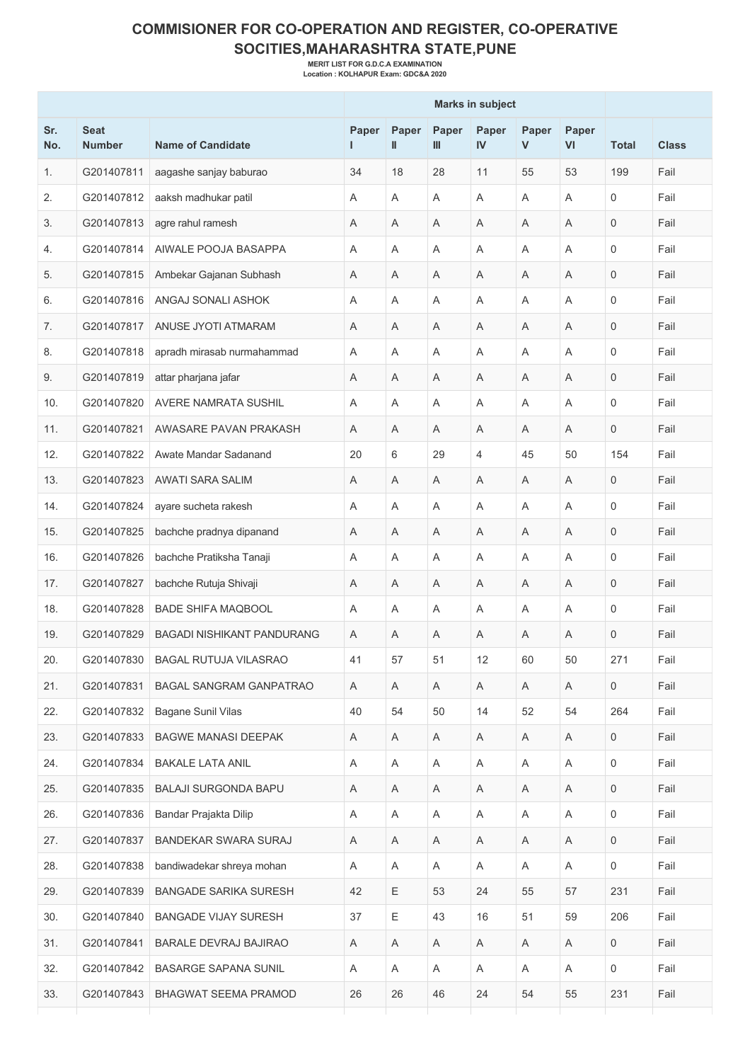## **COMMISIONER FOR CO-OPERATION AND REGISTER, CO-OPERATIVE SOCITIES,MAHARASHTRA STATE,PUNE**

**MERIT LIST FOR G.D.C.A EXAMINATION Location : KOLHAPUR Exam: GDC&A 2020**

|            |                              |                                   | <b>Marks in subject</b> |                       |              |                           |            |             |                     |              |  |
|------------|------------------------------|-----------------------------------|-------------------------|-----------------------|--------------|---------------------------|------------|-------------|---------------------|--------------|--|
| Sr.<br>No. | <b>Seat</b><br><b>Number</b> | <b>Name of Candidate</b>          | Paper<br>L              | Paper<br>$\mathbf{I}$ | Paper<br>III | Paper<br>IV               | Paper<br>V | Paper<br>VI | <b>Total</b>        | <b>Class</b> |  |
| 1.         | G201407811                   | aagashe sanjay baburao            | 34                      | 18                    | 28           | 11                        | 55         | 53          | 199                 | Fail         |  |
| 2.         | G201407812                   | aaksh madhukar patil              | A                       | A                     | Α            | A                         | Α          | A           | $\Omega$            | Fail         |  |
| 3.         | G201407813                   | agre rahul ramesh                 | A                       | Α                     | A            | Α                         | A          | Α           | $\mathbf 0$         | Fail         |  |
| 4.         | G201407814                   | AIWALE POOJA BASAPPA              | A                       | A                     | A            | $\overline{A}$            | Α          | A           | $\Omega$            | Fail         |  |
| 5.         | G201407815                   | Ambekar Gajanan Subhash           | Α                       | Α                     | Α            | Α                         | Α          | A           | $\mathbf 0$         | Fail         |  |
| 6.         | G201407816                   | ANGAJ SONALI ASHOK                | A                       | Α                     | Α            | A                         | Α          | A           | $\mathbf 0$         | Fail         |  |
| 7.         | G201407817                   | ANUSE JYOTI ATMARAM               | A                       | A                     | A            | A                         | A          | A           | $\mathbf 0$         | Fail         |  |
| 8.         | G201407818                   | apradh mirasab nurmahammad        | A                       | A                     | Α            | Α                         | Α          | A           | $\Omega$            | Fail         |  |
| 9.         | G201407819                   | attar pharjana jafar              | Α                       | Α                     | A            | A                         | Α          | Α           | $\mathbf 0$         | Fail         |  |
| 10.        | G201407820                   | <b>AVERE NAMRATA SUSHIL</b>       | A                       | A                     | Α            | A                         | A          | A           | $\mathbf 0$         | Fail         |  |
| 11.        | G201407821                   | AWASARE PAVAN PRAKASH             | A                       | A                     | Α            | A                         | A          | A           | $\mathbf{0}$        | Fail         |  |
| 12.        | G201407822                   | Awate Mandar Sadanand             | 20                      | 6                     | 29           | 4                         | 45         | 50          | 154                 | Fail         |  |
| 13.        | G201407823                   | AWATI SARA SALIM                  | A                       | Α                     | A            | Α                         | A          | A           | $\mathbf 0$         | Fail         |  |
| 14.        | G201407824                   | ayare sucheta rakesh              | A                       | Α                     | A            | A                         | Α          | A           | $\mathbf{0}$        | Fail         |  |
| 15.        | G201407825                   | bachche pradnya dipanand          | A                       | A                     | Α            | Α                         | Α          | Α           | $\mathbf 0$         | Fail         |  |
| 16.        | G201407826                   | bachche Pratiksha Tanaji          | Α                       | Α                     | Α            | A                         | Α          | A           | $\mathbf 0$         | Fail         |  |
| 17.        | G201407827                   | bachche Rutuja Shivaji            | A                       | A                     | A            | A                         | A          | A           | $\mathbf 0$         | Fail         |  |
| 18.        | G201407828                   | <b>BADE SHIFA MAQBOOL</b>         | A                       | Α                     | Α            | Α                         | Α          | Α           | $\mathbf 0$         | Fail         |  |
| 19.        | G201407829                   | <b>BAGADI NISHIKANT PANDURANG</b> | A                       | Α                     | Α            | A                         | Α          | Α           | $\mathbf 0$         | Fail         |  |
| 20.        | G201407830                   | <b>BAGAL RUTUJA VILASRAO</b>      | 41                      | 57                    | 51           | 12                        | 60         | 50          | 271                 | Fail         |  |
| 21.        | G201407831                   | <b>BAGAL SANGRAM GANPATRAO</b>    | Α                       | Α                     | Α            | A                         | Α          | Α           | $\mathbf 0$         | Fail         |  |
| 22.        | G201407832                   | Bagane Sunil Vilas                | 40                      | 54                    | 50           | 14                        | 52         | 54          | 264                 | Fail         |  |
| 23.        | G201407833                   | <b>BAGWE MANASI DEEPAK</b>        | A                       | Α                     | A            | A                         | A          | Α           | 0                   | Fail         |  |
| 24.        | G201407834                   | <b>BAKALE LATA ANIL</b>           | Α                       | Α                     | Α            | $\boldsymbol{\mathsf{A}}$ | Α          | Α           | $\mathbf 0$         | Fail         |  |
| 25.        | G201407835                   | <b>BALAJI SURGONDA BAPU</b>       | A                       | A                     | A            | Α                         | A          | A           | $\mathbf 0$         | Fail         |  |
| 26.        | G201407836                   | Bandar Prajakta Dilip             | Α                       | Α                     | Α            | $\boldsymbol{\mathsf{A}}$ | A          | Α           | $\mathbf 0$         | Fail         |  |
| 27.        | G201407837                   | BANDEKAR SWARA SURAJ              | Α                       | Α                     | Α            | Α                         | A          | Α           | $\mathsf{O}\xspace$ | Fail         |  |
| 28.        | G201407838                   | bandiwadekar shreya mohan         | A                       | Α                     | A            | Α                         | A          | Α           | 0                   | Fail         |  |
| 29.        | G201407839                   | <b>BANGADE SARIKA SURESH</b>      | 42                      | Ε                     | 53           | 24                        | 55         | 57          | 231                 | Fail         |  |
| 30.        | G201407840                   | <b>BANGADE VIJAY SURESH</b>       | 37                      | Е                     | 43           | 16                        | 51         | 59          | 206                 | Fail         |  |
| 31.        | G201407841                   | <b>BARALE DEVRAJ BAJIRAO</b>      | Α                       | Α                     | A            | A                         | A          | Α           | $\mathbf{0}$        | Fail         |  |
| 32.        | G201407842                   | <b>BASARGE SAPANA SUNIL</b>       | A                       | A                     | Α            | $\boldsymbol{\mathsf{A}}$ | Α          | A           | $\mathsf{O}\xspace$ | Fail         |  |
| 33.        | G201407843                   | BHAGWAT SEEMA PRAMOD              | 26                      | 26                    | 46           | 24                        | 54         | 55          | 231                 | Fail         |  |
|            |                              |                                   |                         |                       |              |                           |            |             |                     |              |  |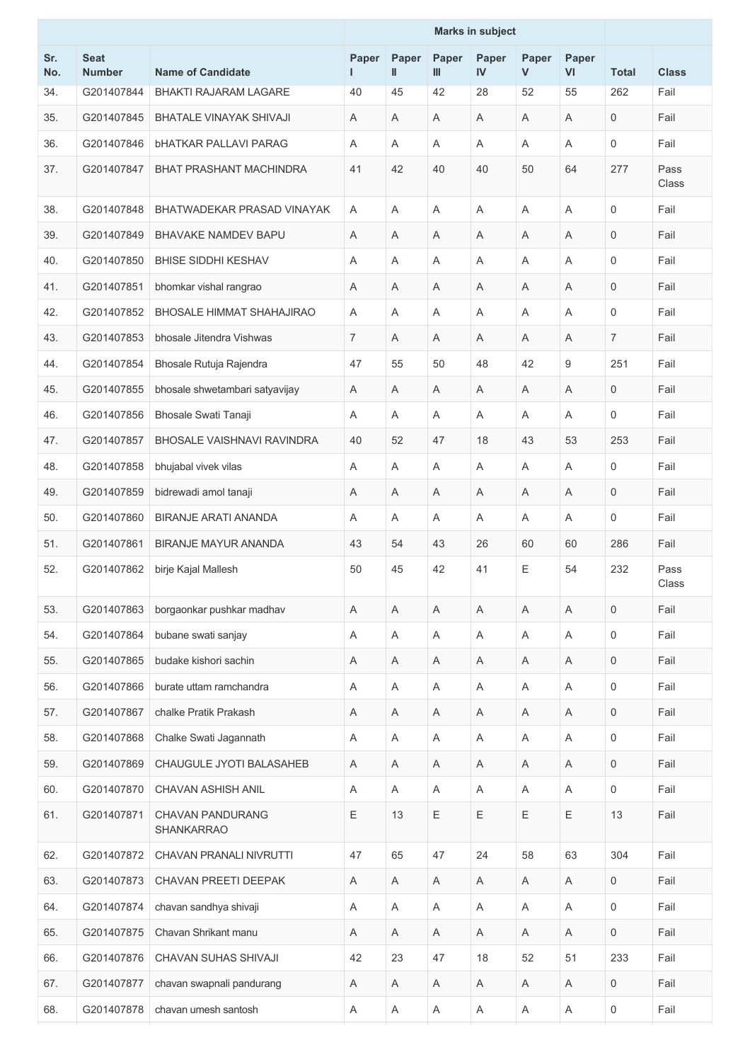|            |                              |                                              | <b>Marks in subject</b> |                       |            |             |             |                           |                  |               |
|------------|------------------------------|----------------------------------------------|-------------------------|-----------------------|------------|-------------|-------------|---------------------------|------------------|---------------|
| Sr.<br>No. | <b>Seat</b><br><b>Number</b> | <b>Name of Candidate</b>                     | Paper                   | Paper<br>$\mathbf{I}$ | Paper<br>Ш | Paper<br>IV | Paper<br>V  | Paper<br>VI               | <b>Total</b>     | <b>Class</b>  |
| 34.        | G201407844                   | <b>BHAKTI RAJARAM LAGARE</b>                 | 40                      | 45                    | 42         | 28          | 52          | 55                        | 262              | Fail          |
| 35.        | G201407845                   | <b>BHATALE VINAYAK SHIVAJI</b>               | Α                       | A                     | A          | A           | Α           | A                         | $\mathbf 0$      | Fail          |
| 36.        | G201407846                   | <b>bHATKAR PALLAVI PARAG</b>                 | A                       | A                     | A          | A           | Α           | A                         | $\mathbf 0$      | Fail          |
| 37.        | G201407847                   | <b>BHAT PRASHANT MACHINDRA</b>               | 41                      | 42                    | 40         | 40          | 50          | 64                        | 277              | Pass<br>Class |
| 38.        | G201407848                   | BHATWADEKAR PRASAD VINAYAK                   | A                       | $\overline{A}$        | A          | A           | Α           | A                         | $\mathbf 0$      | Fail          |
| 39.        | G201407849                   | <b>BHAVAKE NAMDEV BAPU</b>                   | A                       | A                     | Α          | A           | Α           | A                         | $\mathbf 0$      | Fail          |
| 40.        | G201407850                   | <b>BHISE SIDDHI KESHAV</b>                   | A                       | $\overline{A}$        | A          | Α           | A           | A                         | $\mathbf 0$      | Fail          |
| 41.        | G201407851                   | bhomkar vishal rangrao                       | Α                       | A                     | Α          | Α           | Α           | A                         | 0                | Fail          |
| 42.        | G201407852                   | <b>BHOSALE HIMMAT SHAHAJIRAO</b>             | A                       | A                     | Α          | Α           | Α           | A                         | $\mathbf 0$      | Fail          |
| 43.        | G201407853                   | bhosale Jitendra Vishwas                     | $\overline{7}$          | A                     | A          | Α           | Α           | A                         | $\overline{7}$   | Fail          |
| 44.        | G201407854                   | Bhosale Rutuja Rajendra                      | 47                      | 55                    | 50         | 48          | 42          | 9                         | 251              | Fail          |
| 45.        | G201407855                   | bhosale shwetambari satyavijay               | Α                       | A                     | A          | A           | Α           | A                         | $\mathbf 0$      | Fail          |
| 46.        | G201407856                   | Bhosale Swati Tanaji                         | Α                       | A                     | A          | Α           | Α           | A                         | $\mathbf 0$      | Fail          |
| 47.        | G201407857                   | <b>BHOSALE VAISHNAVI RAVINDRA</b>            | 40                      | 52                    | 47         | 18          | 43          | 53                        | 253              | Fail          |
| 48.        | G201407858                   | bhujabal vivek vilas                         | Α                       | A                     | A          | Α           | Α           | A                         | $\mathbf 0$      | Fail          |
| 49.        | G201407859                   | bidrewadi amol tanaji                        | Α                       | Α                     | Α          | Α           | Α           | Α                         | $\mathbf 0$      | Fail          |
| 50.        | G201407860                   | <b>BIRANJE ARATI ANANDA</b>                  | A                       | A                     | A          | Α           | A           | A                         | $\mathbf 0$      | Fail          |
| 51.        | G201407861                   | <b>BIRANJE MAYUR ANANDA</b>                  | 43                      | 54                    | 43         | 26          | 60          | 60                        | 286              | Fail          |
| 52.        | G201407862                   | birje Kajal Mallesh                          | 50                      | 45                    | 42         | 41          | E           | 54                        | 232              | Pass<br>Class |
| 53.        | G201407863                   | borgaonkar pushkar madhav                    | A                       | A                     | A          | A           | Α           | $\overline{\mathsf{A}}$   | $\mathbf 0$      | Fail          |
| 54.        | G201407864                   | bubane swati sanjay                          | Α                       | A                     | A          | A           | A           | A                         | $\mathbf 0$      | Fail          |
| 55.        | G201407865                   | budake kishori sachin                        | Α                       | Α                     | Α          | Α           | Α           | $\boldsymbol{\mathsf{A}}$ | $\mathbf 0$      | Fail          |
| 56.        | G201407866                   | burate uttam ramchandra                      | Α                       | $\mathsf A$           | Α          | Α           | Α           | A                         | $\mathbf 0$      | Fail          |
| 57.        | G201407867                   | chalke Pratik Prakash                        | Α                       | $\overline{A}$        | A          | Α           | A           | A                         | $\mathbf 0$      | Fail          |
| 58.        | G201407868                   | Chalke Swati Jagannath                       | Α                       | $\overline{A}$        | A          | $\mathsf A$ | Α           | A                         | $\mathbf 0$      | Fail          |
| 59.        | G201407869                   | CHAUGULE JYOTI BALASAHEB                     | Α                       | Α                     | Α          | Α           | Α           | A                         | $\mathbf 0$      | Fail          |
| 60.        | G201407870                   | CHAVAN ASHISH ANIL                           | A                       | $\mathsf A$           | Α          | Α           | Α           | $\boldsymbol{\mathsf{A}}$ | $\mathbf 0$      | Fail          |
| 61.        | G201407871                   | <b>CHAVAN PANDURANG</b><br><b>SHANKARRAO</b> | Ε                       | 13                    | E          | E           | $\mathsf E$ | $\mathsf E$               | 13               | Fail          |
| 62.        | G201407872                   | CHAVAN PRANALI NIVRUTTI                      | 47                      | 65                    | 47         | 24          | 58          | 63                        | 304              | Fail          |
| 63.        | G201407873                   | CHAVAN PREETI DEEPAK                         | Α                       | $\mathsf A$           | Α          | Α           | Α           | $\boldsymbol{\mathsf{A}}$ | $\mathbf 0$      | Fail          |
| 64.        | G201407874                   | chavan sandhya shivaji                       | Α                       | A                     | A          | Α           | Α           | Α                         | $\mathbf 0$      | Fail          |
| 65.        | G201407875                   | Chavan Shrikant manu                         | A                       | A                     | A          | A           | A           | $\boldsymbol{\mathsf{A}}$ | $\mathbf 0$      | Fail          |
| 66.        | G201407876                   | CHAVAN SUHAS SHIVAJI                         | 42                      | 23                    | 47         | 18          | 52          | 51                        | 233              | Fail          |
| 67.        | G201407877                   | chavan swapnali pandurang                    | A                       | A                     | A          | Α           | Α           | Α                         | 0                | Fail          |
| 68.        | G201407878                   | chavan umesh santosh                         | A                       | $\mathsf A$           | Α          | Α           | A           | $\mathsf A$               | $\boldsymbol{0}$ | Fail          |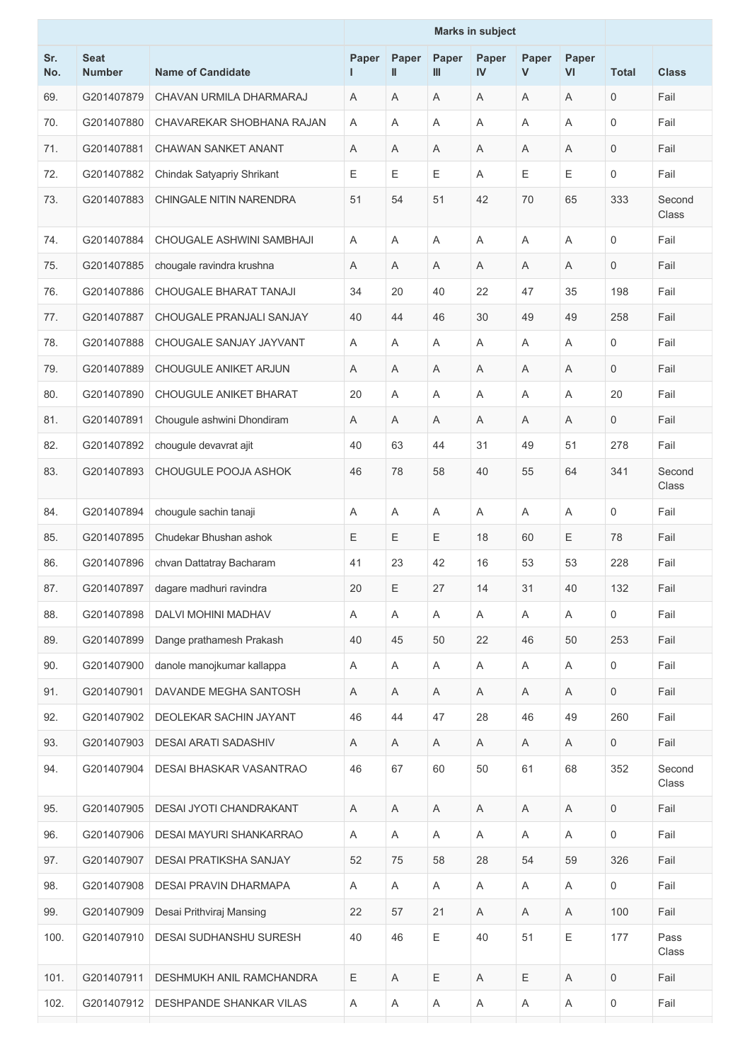|            |                              |                              | <b>Marks in subject</b> |            |            |             |            |                           |              |                 |
|------------|------------------------------|------------------------------|-------------------------|------------|------------|-------------|------------|---------------------------|--------------|-----------------|
| Sr.<br>No. | <b>Seat</b><br><b>Number</b> | <b>Name of Candidate</b>     | Paper                   | Paper<br>Ш | Paper<br>Ш | Paper<br>IV | Paper<br>V | Paper<br>VI               | <b>Total</b> | <b>Class</b>    |
| 69.        | G201407879                   | CHAVAN URMILA DHARMARAJ      | A                       | A          | A          | A           | A          | A                         | $\mathbf 0$  | Fail            |
| 70.        | G201407880                   | CHAVAREKAR SHOBHANA RAJAN    | A                       | A          | Α          | A           | A          | A                         | 0            | Fail            |
| 71.        | G201407881                   | <b>CHAWAN SANKET ANANT</b>   | Α                       | Α          | A          | Α           | Α          | Α                         | 0            | Fail            |
| 72.        | G201407882                   | Chindak Satyapriy Shrikant   | Ε                       | Ε          | Ε          | A           | Е          | Е                         | 0            | Fail            |
| 73.        | G201407883                   | CHINGALE NITIN NARENDRA      | 51                      | 54         | 51         | 42          | 70         | 65                        | 333          | Second<br>Class |
| 74.        | G201407884                   | CHOUGALE ASHWINI SAMBHAJI    | A                       | A          | Α          | A           | Α          | A                         | 0            | Fail            |
| 75.        | G201407885                   | chougale ravindra krushna    | Α                       | A          | Α          | A           | A          | A                         | $\mathbf 0$  | Fail            |
| 76.        | G201407886                   | CHOUGALE BHARAT TANAJI       | 34                      | 20         | 40         | 22          | 47         | 35                        | 198          | Fail            |
| 77.        | G201407887                   | CHOUGALE PRANJALI SANJAY     | 40                      | 44         | 46         | 30          | 49         | 49                        | 258          | Fail            |
| 78.        | G201407888                   | CHOUGALE SANJAY JAYVANT      | A                       | A          | A          | A           | A          | A                         | 0            | Fail            |
| 79.        | G201407889                   | <b>CHOUGULE ANIKET ARJUN</b> | Α                       | Α          | Α          | A           | Α          | A                         | $\mathbf 0$  | Fail            |
| 80.        | G201407890                   | CHOUGULE ANIKET BHARAT       | 20                      | A          | Α          | A           | A          | A                         | 20           | Fail            |
| 81.        | G201407891                   | Chougule ashwini Dhondiram   | Α                       | A          | Α          | A           | Α          | A                         | 0            | Fail            |
| 82.        | G201407892                   | chougule devavrat ajit       | 40                      | 63         | 44         | 31          | 49         | 51                        | 278          | Fail            |
| 83.        | G201407893                   | CHOUGULE POOJA ASHOK         | 46                      | 78         | 58         | 40          | 55         | 64                        | 341          | Second<br>Class |
| 84.        | G201407894                   | chougule sachin tanaji       | A                       | A          | Α          | A           | Α          | A                         | 0            | Fail            |
| 85.        | G201407895                   | Chudekar Bhushan ashok       | Ε                       | Ε          | Е          | 18          | 60         | Ε                         | 78           | Fail            |
| 86.        | G201407896                   | chvan Dattatray Bacharam     | 41                      | 23         | 42         | 16          | 53         | 53                        | 228          | Fail            |
| 87.        | G201407897                   | dagare madhuri ravindra      | 20                      | Ε          | 27         | 14          | 31         | 40                        | 132          | Fail            |
| 88.        | G201407898                   | DALVI MOHINI MADHAV          | A                       | Α          | Α          | A           | Α          | A                         | 0            | Fail            |
| 89.        | G201407899                   | Dange prathamesh Prakash     | 40                      | 45         | 50         | 22          | 46         | 50                        | 253          | Fail            |
| 90.        | G201407900                   | danole manojkumar kallappa   | Α                       | A          | Α          | Α           | A          | Α                         | 0            | Fail            |
| 91.        | G201407901                   | DAVANDE MEGHA SANTOSH        | Α                       | Α          | Α          | $\mathsf A$ | A          | $\boldsymbol{\mathsf{A}}$ | 0            | Fail            |
| 92.        | G201407902                   | DEOLEKAR SACHIN JAYANT       | 46                      | 44         | 47         | 28          | 46         | 49                        | 260          | Fail            |
| 93.        | G201407903                   | <b>DESAI ARATI SADASHIV</b>  | Α                       | Α          | A          | Α           | A          | Α                         | $\mathbf 0$  | Fail            |
| 94.        | G201407904                   | DESAI BHASKAR VASANTRAO      | 46                      | 67         | 60         | 50          | 61         | 68                        | 352          | Second<br>Class |
| 95.        | G201407905                   | DESAI JYOTI CHANDRAKANT      | A                       | Α          | Α          | A           | A          | Α                         | 0            | Fail            |
| 96.        | G201407906                   | DESAI MAYURI SHANKARRAO      | A                       | Α          | A          | A           | A          | $\boldsymbol{\mathsf{A}}$ | 0            | Fail            |
| 97.        | G201407907                   | DESAI PRATIKSHA SANJAY       | 52                      | 75         | 58         | 28          | 54         | 59                        | 326          | Fail            |
| 98.        | G201407908                   | DESAI PRAVIN DHARMAPA        | A                       | A          | A          | Α           | A          | Α                         | 0            | Fail            |
| 99.        | G201407909                   | Desai Prithviraj Mansing     | 22                      | 57         | 21         | A           | A          | Α                         | 100          | Fail            |
| 100.       | G201407910                   | DESAI SUDHANSHU SURESH       | 40                      | 46         | E          | 40          | 51         | Ε                         | 177          | Pass<br>Class   |
| 101.       | G201407911                   | DESHMUKH ANIL RAMCHANDRA     | Ε                       | A          | Ε          | A           | Ε          | A                         | 0            | Fail            |
| 102.       | G201407912                   | DESHPANDE SHANKAR VILAS      | Α                       | A          | Α          | Α           | A          | Α                         | 0            | Fail            |
|            |                              |                              |                         |            |            |             |            |                           |              |                 |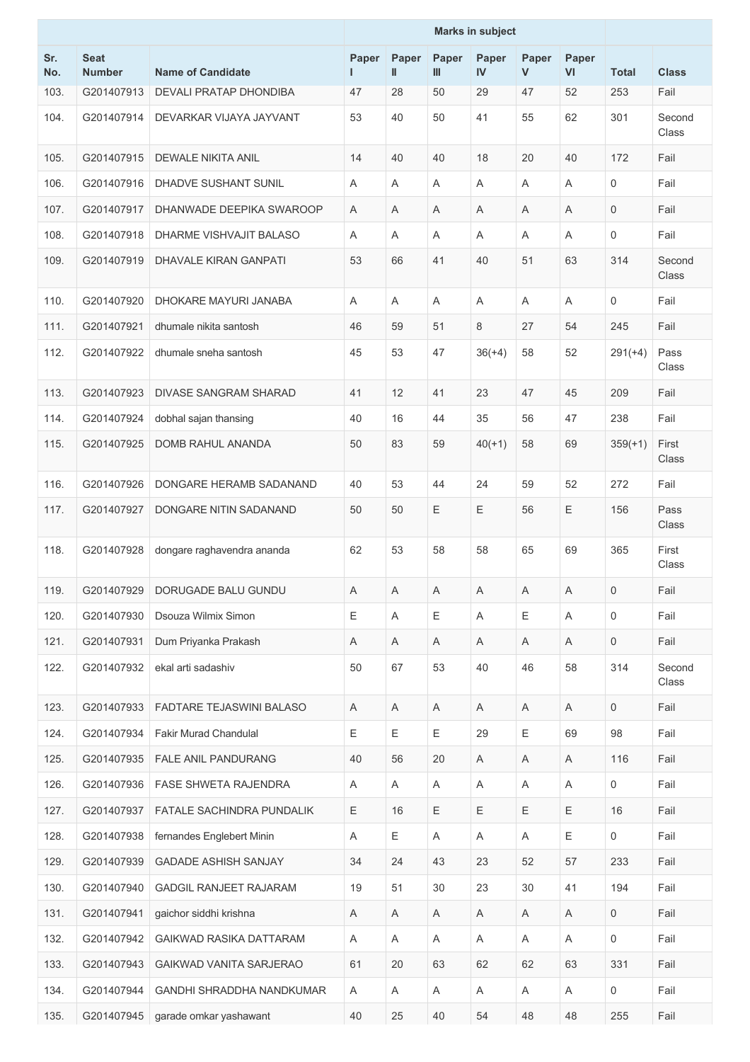|            |                              |                                | <b>Marks in subject</b> |                           |            |             |            |             |              |                 |
|------------|------------------------------|--------------------------------|-------------------------|---------------------------|------------|-------------|------------|-------------|--------------|-----------------|
| Sr.<br>No. | <b>Seat</b><br><b>Number</b> | <b>Name of Candidate</b>       | Paper                   | Paper<br>$\mathbf{I}$     | Paper<br>Ш | Paper<br>IV | Paper<br>V | Paper<br>VI | <b>Total</b> | <b>Class</b>    |
| 103.       | G201407913                   | DEVALI PRATAP DHONDIBA         | 47                      | 28                        | 50         | 29          | 47         | 52          | 253          | Fail            |
| 104.       | G201407914                   | DEVARKAR VIJAYA JAYVANT        | 53                      | 40                        | 50         | 41          | 55         | 62          | 301          | Second<br>Class |
| 105.       | G201407915                   | <b>DEWALE NIKITA ANIL</b>      | 14                      | 40                        | 40         | 18          | 20         | 40          | 172          | Fail            |
| 106.       | G201407916                   | DHADVE SUSHANT SUNIL           | A                       | A                         | Α          | A           | A          | A           | $\mathbf 0$  | Fail            |
| 107.       | G201407917                   | DHANWADE DEEPIKA SWAROOP       | A                       | A                         | Α          | A           | A          | A           | 0            | Fail            |
| 108.       | G201407918                   | DHARME VISHVAJIT BALASO        | A                       | A                         | Α          | Α           | A          | A           | 0            | Fail            |
| 109.       | G201407919                   | DHAVALE KIRAN GANPATI          | 53                      | 66                        | 41         | 40          | 51         | 63          | 314          | Second<br>Class |
| 110.       | G201407920                   | DHOKARE MAYURI JANABA          | A                       | $\overline{A}$            | Α          | A           | A          | A           | 0            | Fail            |
| 111.       | G201407921                   | dhumale nikita santosh         | 46                      | 59                        | 51         | 8           | 27         | 54          | 245          | Fail            |
| 112.       | G201407922                   | dhumale sneha santosh          | 45                      | 53                        | 47         | $36(+4)$    | 58         | 52          | $291(+4)$    | Pass<br>Class   |
| 113.       | G201407923                   | <b>DIVASE SANGRAM SHARAD</b>   | 41                      | 12                        | 41         | 23          | 47         | 45          | 209          | Fail            |
| 114.       | G201407924                   | dobhal sajan thansing          | 40                      | 16                        | 44         | 35          | 56         | 47          | 238          | Fail            |
| 115.       | G201407925                   | DOMB RAHUL ANANDA              | 50                      | 83                        | 59         | $40(+1)$    | 58         | 69          | $359(+1)$    | First<br>Class  |
| 116.       | G201407926                   | DONGARE HERAMB SADANAND        | 40                      | 53                        | 44         | 24          | 59         | 52          | 272          | Fail            |
| 117.       | G201407927                   | DONGARE NITIN SADANAND         | 50                      | 50                        | Ε          | $\mathsf E$ | 56         | Ε           | 156          | Pass<br>Class   |
| 118.       | G201407928                   | dongare raghavendra ananda     | 62                      | 53                        | 58         | 58          | 65         | 69          | 365          | First<br>Class  |
| 119.       | G201407929                   | DORUGADE BALU GUNDU            | A                       | A                         | A          | A           | A          | A           | 0            | Fail            |
| 120.       | G201407930                   | Dsouza Wilmix Simon            | Ε                       | $\boldsymbol{\mathsf{A}}$ | Ε          | A           | Ε          | A           | $\mathbf 0$  | Fail            |
| 121.       | G201407931                   | Dum Priyanka Prakash           | A                       | Α                         | A          | Α           | A          | Α           | 0            | Fail            |
| 122.       | G201407932                   | ekal arti sadashiv             | 50                      | 67                        | 53         | 40          | 46         | 58          | 314          | Second<br>Class |
| 123.       | G201407933                   | FADTARE TEJASWINI BALASO       | Α                       | A                         | Α          | Α           | Α          | A           | 0            | Fail            |
| 124.       | G201407934                   | <b>Fakir Murad Chandulal</b>   | E                       | Е                         | Е          | 29          | Ε          | 69          | 98           | Fail            |
| 125.       | G201407935                   | FALE ANIL PANDURANG            | 40                      | 56                        | 20         | Α           | Α          | $\mathsf A$ | 116          | Fail            |
| 126.       | G201407936                   | FASE SHWETA RAJENDRA           | Α                       | Α                         | Α          | Α           | Α          | A           | 0            | Fail            |
| 127.       | G201407937                   | FATALE SACHINDRA PUNDALIK      | $\mathsf E$             | 16                        | Ε          | $\mathsf E$ | Ε          | $\mathsf E$ | 16           | Fail            |
| 128.       | G201407938                   | fernandes Englebert Minin      | Α                       | Ε                         | Α          | $\mathsf A$ | Α          | $\mathsf E$ | 0            | Fail            |
| 129.       | G201407939                   | <b>GADADE ASHISH SANJAY</b>    | 34                      | 24                        | 43         | 23          | 52         | 57          | 233          | Fail            |
| 130.       | G201407940                   | <b>GADGIL RANJEET RAJARAM</b>  | 19                      | 51                        | 30         | 23          | 30         | 41          | 194          | Fail            |
| 131.       | G201407941                   | gaichor siddhi krishna         | A                       | Α                         | Α          | Α           | A          | Α           | 0            | Fail            |
| 132.       | G201407942                   | <b>GAIKWAD RASIKA DATTARAM</b> | A                       | Α                         | Α          | A           | A          | A           | 0            | Fail            |
| 133.       | G201407943                   | GAIKWAD VANITA SARJERAO        | 61                      | 20                        | 63         | 62          | 62         | 63          | 331          | Fail            |
| 134.       | G201407944                   | GANDHI SHRADDHA NANDKUMAR      | Α                       | Α                         | Α          | Α           | Α          | Α           | 0            | Fail            |
| 135.       | G201407945                   | garade omkar yashawant         | 40                      | 25                        | 40         | 54          | 48         | 48          | 255          | Fail            |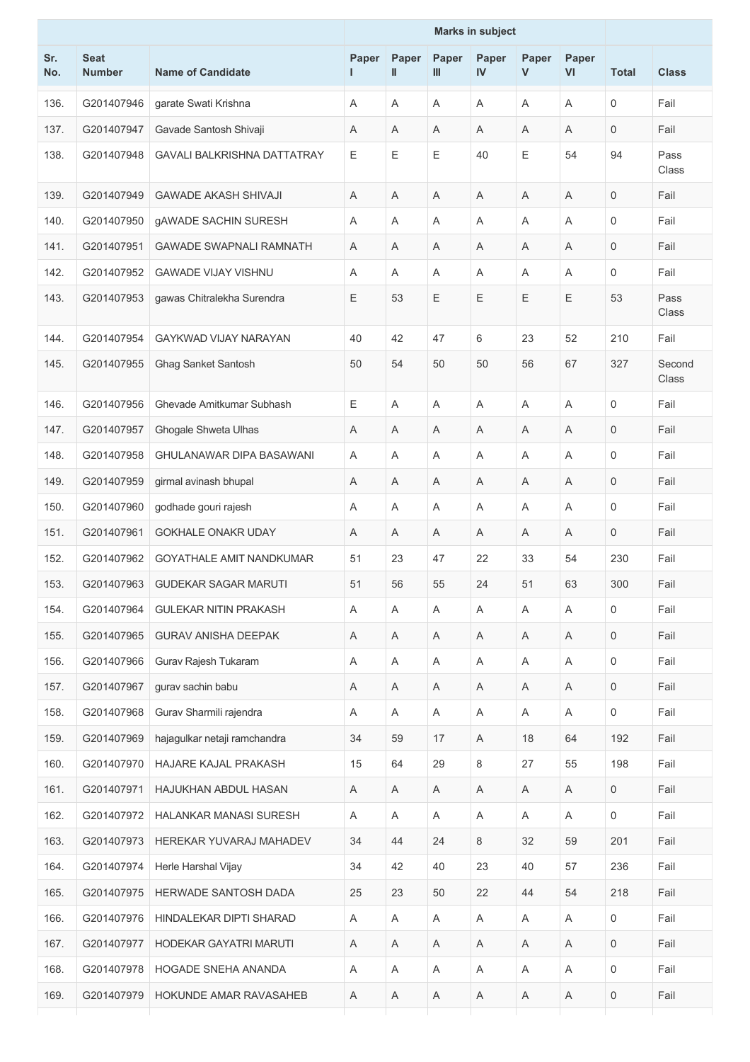|            |                              |                                    | <b>Marks in subject</b> |                           |            |                |                           |                |                     |                 |
|------------|------------------------------|------------------------------------|-------------------------|---------------------------|------------|----------------|---------------------------|----------------|---------------------|-----------------|
| Sr.<br>No. | <b>Seat</b><br><b>Number</b> | <b>Name of Candidate</b>           | Paper<br>L              | Paper<br>Ш                | Paper<br>Ш | Paper<br>IV    | Paper<br>V                | Paper<br>VI    | <b>Total</b>        | <b>Class</b>    |
| 136.       | G201407946                   | garate Swati Krishna               | Α                       | $\overline{A}$            | A          | Α              | A                         | A              | $\mathsf{O}\xspace$ | Fail            |
| 137.       | G201407947                   | Gavade Santosh Shivaji             | A                       | Α                         | A          | Α              | A                         | A              | $\mathbf 0$         | Fail            |
| 138.       | G201407948                   | <b>GAVALI BALKRISHNA DATTATRAY</b> | Е                       | $\mathsf E$               | E          | 40             | Е                         | 54             | 94                  | Pass<br>Class   |
| 139.       | G201407949                   | <b>GAWADE AKASH SHIVAJI</b>        | A                       | A                         | A          | Α              | A                         | A              | $\mathbf 0$         | Fail            |
| 140.       | G201407950                   | <b>gAWADE SACHIN SURESH</b>        | Α                       | A                         | A          | Α              | A                         | A              | 0                   | Fail            |
| 141.       | G201407951                   | <b>GAWADE SWAPNALI RAMNATH</b>     | A                       | A                         | A          | Α              | A                         | $\overline{A}$ | 0                   | Fail            |
| 142.       | G201407952                   | <b>GAWADE VIJAY VISHNU</b>         | Α                       | Α                         | A          | Α              | Α                         | Α              | 0                   | Fail            |
| 143.       | G201407953                   | gawas Chitralekha Surendra         | Ε                       | 53                        | Е          | Ε              | Ε                         | Ε              | 53                  | Pass<br>Class   |
| 144.       | G201407954                   | <b>GAYKWAD VIJAY NARAYAN</b>       | 40                      | 42                        | 47         | 6              | 23                        | 52             | 210                 | Fail            |
| 145.       | G201407955                   | Ghag Sanket Santosh                | 50                      | 54                        | 50         | 50             | 56                        | 67             | 327                 | Second<br>Class |
| 146.       | G201407956                   | Ghevade Amitkumar Subhash          | Ε                       | $\overline{\mathsf{A}}$   | A          | A              | Α                         | A              | 0                   | Fail            |
| 147.       | G201407957                   | Ghogale Shweta Ulhas               | A                       | Α                         | A          | Α              | A                         | Α              | 0                   | Fail            |
| 148.       | G201407958                   | <b>GHULANAWAR DIPA BASAWANI</b>    | A                       | Α                         | A          | A              | Α                         | Α              | 0                   | Fail            |
| 149.       | G201407959                   | girmal avinash bhupal              | A                       | A                         | A          | Α              | A                         | A              | $\mathsf{O}\xspace$ | Fail            |
| 150.       | G201407960                   | godhade gouri rajesh               | Α                       | Α                         | Α          | Α              | Α                         | A              | 0                   | Fail            |
| 151.       | G201407961                   | GOKHALE ONAKR UDAY                 | A                       | Α                         | A          | Α              | Α                         | A              | $\mathbf 0$         | Fail            |
| 152.       | G201407962                   | <b>GOYATHALE AMIT NANDKUMAR</b>    | 51                      | 23                        | 47         | 22             | 33                        | 54             | 230                 | Fail            |
| 153.       | G201407963                   | <b>GUDEKAR SAGAR MARUTI</b>        | 51                      | 56                        | 55         | 24             | 51                        | 63             | 300                 | Fail            |
| 154.       | G201407964                   | <b>GULEKAR NITIN PRAKASH</b>       | Α                       | $\overline{A}$            | A          | $\overline{A}$ | A                         | A              | $\mathsf{O}\xspace$ | Fail            |
| 155.       | G201407965                   | <b>GURAV ANISHA DEEPAK</b>         | A                       | A                         | A          | A              | A                         | A              | $\mathbf 0$         | Fail            |
| 156.       | G201407966                   | Gurav Rajesh Tukaram               | Α                       | $\boldsymbol{\mathsf{A}}$ | A          | Α              | $\boldsymbol{\mathsf{A}}$ | $\mathsf A$    | $\mathsf{O}\xspace$ | Fail            |
| 157.       | G201407967                   | gurav sachin babu                  | Α                       | Α                         | A          | Α              | A                         | Α              | $\mathbf 0$         | Fail            |
| 158.       | G201407968                   | Gurav Sharmili rajendra            | Α                       | A                         | A          | A              | A                         | A              | $\mathbf 0$         | Fail            |
| 159.       | G201407969                   | hajagulkar netaji ramchandra       | 34                      | 59                        | 17         | A              | 18                        | 64             | 192                 | Fail            |
| 160.       | G201407970                   | HAJARE KAJAL PRAKASH               | 15                      | 64                        | 29         | 8              | 27                        | 55             | 198                 | Fail            |
| 161.       | G201407971                   | HAJUKHAN ABDUL HASAN               | A                       | Α                         | Α          | Α              | Α                         | Α              | $\mathbf 0$         | Fail            |
| 162.       | G201407972                   | HALANKAR MANASI SURESH             | A                       | A                         | A          | Α              | A                         | A              | $\mathsf{O}$        | Fail            |
| 163.       | G201407973                   | HEREKAR YUVARAJ MAHADEV            | 34                      | 44                        | 24         | 8              | 32                        | 59             | 201                 | Fail            |
| 164.       | G201407974                   | Herle Harshal Vijay                | 34                      | 42                        | 40         | 23             | 40                        | 57             | 236                 | Fail            |
| 165.       | G201407975                   | HERWADE SANTOSH DADA               | 25                      | 23                        | 50         | 22             | 44                        | 54             | 218                 | Fail            |
| 166.       | G201407976                   | HINDALEKAR DIPTI SHARAD            | Α                       | A                         | Α          | Α              | $\boldsymbol{\mathsf{A}}$ | Α              | $\mathbf 0$         | Fail            |
| 167.       | G201407977                   | HODEKAR GAYATRI MARUTI             | A                       | A                         | A          | Α              | A                         | A              | $\mathsf{O}\xspace$ | Fail            |
| 168.       | G201407978                   | HOGADE SNEHA ANANDA                | A                       | A                         | A          | A              | A                         | A              | $\mathbf 0$         | Fail            |
| 169.       | G201407979                   | HOKUNDE AMAR RAVASAHEB             | A                       | Α                         | A          | Α              | A                         | A              | $\mathbf 0$         | Fail            |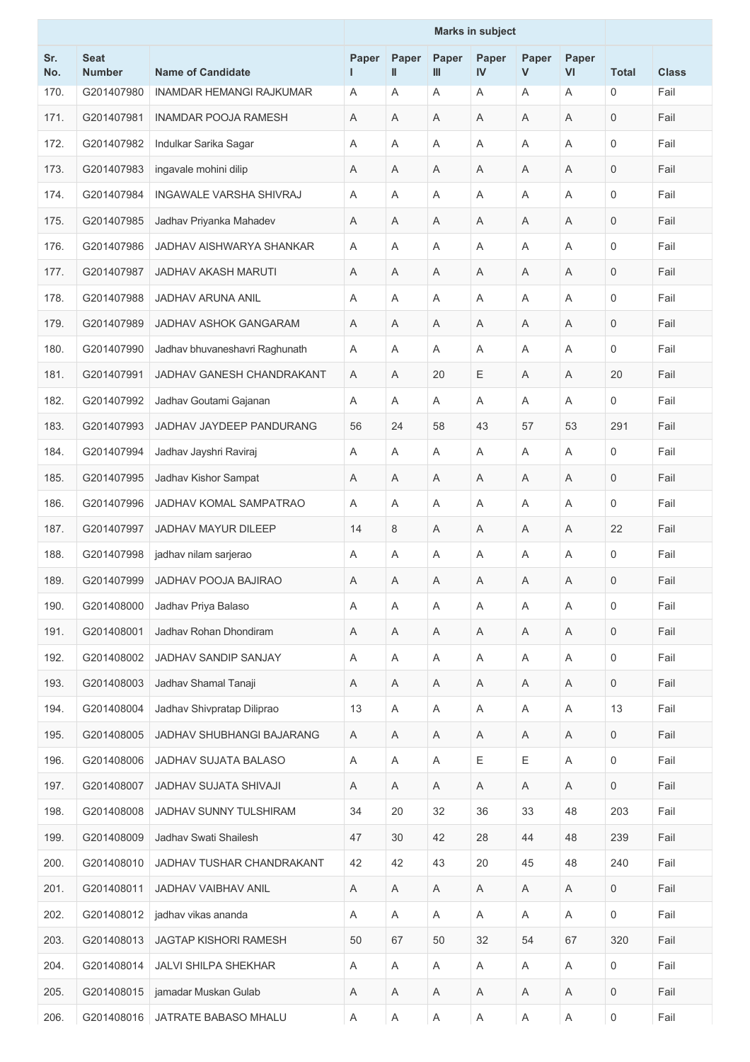|            |                              |                                 | <b>Marks in subject</b> |                           |            |             |            |                           |              |              |
|------------|------------------------------|---------------------------------|-------------------------|---------------------------|------------|-------------|------------|---------------------------|--------------|--------------|
| Sr.<br>No. | <b>Seat</b><br><b>Number</b> | <b>Name of Candidate</b>        | Paper                   | Paper<br>$\mathbf{I}$     | Paper<br>Ш | Paper<br>IV | Paper<br>V | Paper<br><b>VI</b>        | <b>Total</b> | <b>Class</b> |
| 170.       | G201407980                   | <b>INAMDAR HEMANGI RAJKUMAR</b> | Α                       | A                         | Α          | Α           | Α          | A                         | $\mathbf 0$  | Fail         |
| 171.       | G201407981                   | <b>INAMDAR POOJA RAMESH</b>     | Α                       | A                         | A          | A           | Α          | A                         | $\mathbf 0$  | Fail         |
| 172.       | G201407982                   | Indulkar Sarika Sagar           | Α                       | A                         | A          | Α           | Α          | A                         | $\mathbf 0$  | Fail         |
| 173.       | G201407983                   | ingavale mohini dilip           | A                       | A                         | A          | A           | A          | $\overline{\mathsf{A}}$   | $\mathbf 0$  | Fail         |
| 174.       | G201407984                   | <b>INGAWALE VARSHA SHIVRAJ</b>  | Α                       | A                         | Α          | Α           | Α          | A                         | $\mathbf 0$  | Fail         |
| 175.       | G201407985                   | Jadhav Priyanka Mahadev         | Α                       | A                         | Α          | Α           | Α          | A                         | $\mathbf 0$  | Fail         |
| 176.       | G201407986                   | JADHAV AISHWARYA SHANKAR        | A                       | A                         | A          | Α           | A          | A                         | $\mathbf 0$  | Fail         |
| 177.       | G201407987                   | <b>JADHAV AKASH MARUTI</b>      | Α                       | Α                         | Α          | Α           | Α          | A                         | $\mathbf 0$  | Fail         |
| 178.       | G201407988                   | <b>JADHAV ARUNA ANIL</b>        | Α                       | A                         | A          | Α           | Α          | A                         | $\mathbf 0$  | Fail         |
| 179.       | G201407989                   | JADHAV ASHOK GANGARAM           | Α                       | A                         | A          | Α           | Α          | A                         | 0            | Fail         |
| 180.       | G201407990                   | Jadhav bhuvaneshavri Raghunath  | Α                       | A                         | A          | Α           | Α          | A                         | $\mathbf 0$  | Fail         |
| 181.       | G201407991                   | JADHAV GANESH CHANDRAKANT       | Α                       | A                         | 20         | Ε           | Α          | A                         | 20           | Fail         |
| 182.       | G201407992                   | Jadhav Goutami Gajanan          | Α                       | A                         | A          | Α           | Α          | A                         | $\mathbf 0$  | Fail         |
| 183.       | G201407993                   | JADHAV JAYDEEP PANDURANG        | 56                      | 24                        | 58         | 43          | 57         | 53                        | 291          | Fail         |
| 184.       | G201407994                   | Jadhav Jayshri Raviraj          | Α                       | A                         | Α          | Α           | Α          | A                         | $\mathbf 0$  | Fail         |
| 185.       | G201407995                   | Jadhav Kishor Sampat            | Α                       | A                         | Α          | A           | Α          | A                         | $\mathbf 0$  | Fail         |
| 186.       | G201407996                   | JADHAV KOMAL SAMPATRAO          | A                       | A                         | A          | Α           | Α          | A                         | $\mathbf 0$  | Fail         |
| 187.       | G201407997                   | <b>JADHAV MAYUR DILEEP</b>      | 14                      | 8                         | Α          | Α           | Α          | A                         | 22           | Fail         |
| 188.       | G201407998                   | jadhav nilam sarjerao           | Α                       | Α                         | Α          | Α           | Α          | A                         | $\mathbf 0$  | Fail         |
| 189.       | G201407999                   | JADHAV POOJA BAJIRAO            | Α                       | Α                         | Α          | Α           | Α          | Α                         | 0            | Fail         |
| 190.       | G201408000                   | Jadhav Priya Balaso             | A                       | A                         | A          | Α           | Α          | A                         | $\mathbf 0$  | Fail         |
| 191.       | G201408001                   | Jadhav Rohan Dhondiram          | A                       | Α                         | Α          | Α           | Α          | A                         | $\mathbf 0$  | Fail         |
| 192.       | G201408002                   | JADHAV SANDIP SANJAY            | Α                       | Α                         | Α          | Α           | Α          | A                         | $\mathbf 0$  | Fail         |
| 193.       | G201408003                   | Jadhav Shamal Tanaji            | Α                       | Α                         | Α          | Α           | Α          | A                         | $\mathbf 0$  | Fail         |
| 194.       | G201408004                   | Jadhav Shivpratap Diliprao      | 13                      | A                         | Α          | Α           | Α          | Α                         | 13           | Fail         |
| 195.       | G201408005                   | JADHAV SHUBHANGI BAJARANG       | A                       | Α                         | Α          | Α           | Α          | Α                         | $\mathbf 0$  | Fail         |
| 196.       | G201408006                   | JADHAV SUJATA BALASO            | A                       | $\mathsf A$               | Α          | E           | Ε          | A                         | $\mathbf 0$  | Fail         |
| 197.       | G201408007                   | JADHAV SUJATA SHIVAJI           | A                       | Α                         | A          | Α           | A          | Α                         | 0            | Fail         |
| 198.       | G201408008                   | JADHAV SUNNY TULSHIRAM          | 34                      | 20                        | 32         | 36          | 33         | 48                        | 203          | Fail         |
| 199.       | G201408009                   | Jadhav Swati Shailesh           | 47                      | 30                        | 42         | 28          | 44         | 48                        | 239          | Fail         |
| 200.       | G201408010                   | JADHAV TUSHAR CHANDRAKANT       | 42                      | 42                        | 43         | 20          | 45         | 48                        | 240          | Fail         |
| 201.       | G201408011                   | <b>JADHAV VAIBHAV ANIL</b>      | Α                       | $\boldsymbol{\mathsf{A}}$ | Α          | Α           | Α          | A                         | $\mathbf 0$  | Fail         |
| 202.       | G201408012                   | jadhav vikas ananda             | A                       | A                         | A          | Α           | A          | Α                         | $\mathbf 0$  | Fail         |
| 203.       | G201408013                   | <b>JAGTAP KISHORI RAMESH</b>    | 50                      | 67                        | 50         | 32          | 54         | 67                        | 320          | Fail         |
| 204.       | G201408014                   | <b>JALVI SHILPA SHEKHAR</b>     | Α                       | Α                         | A          | Α           | A          | A                         | 0            | Fail         |
| 205.       | G201408015                   | jamadar Muskan Gulab            | Α                       | A                         | Α          | Α           | Α          | A                         | $\mathbf 0$  | Fail         |
| 206.       | G201408016                   | JATRATE BABASO MHALU            | Α                       | $\mathsf A$               | Α          | Α           | Α          | $\boldsymbol{\mathsf{A}}$ | $\mathsf 0$  | Fail         |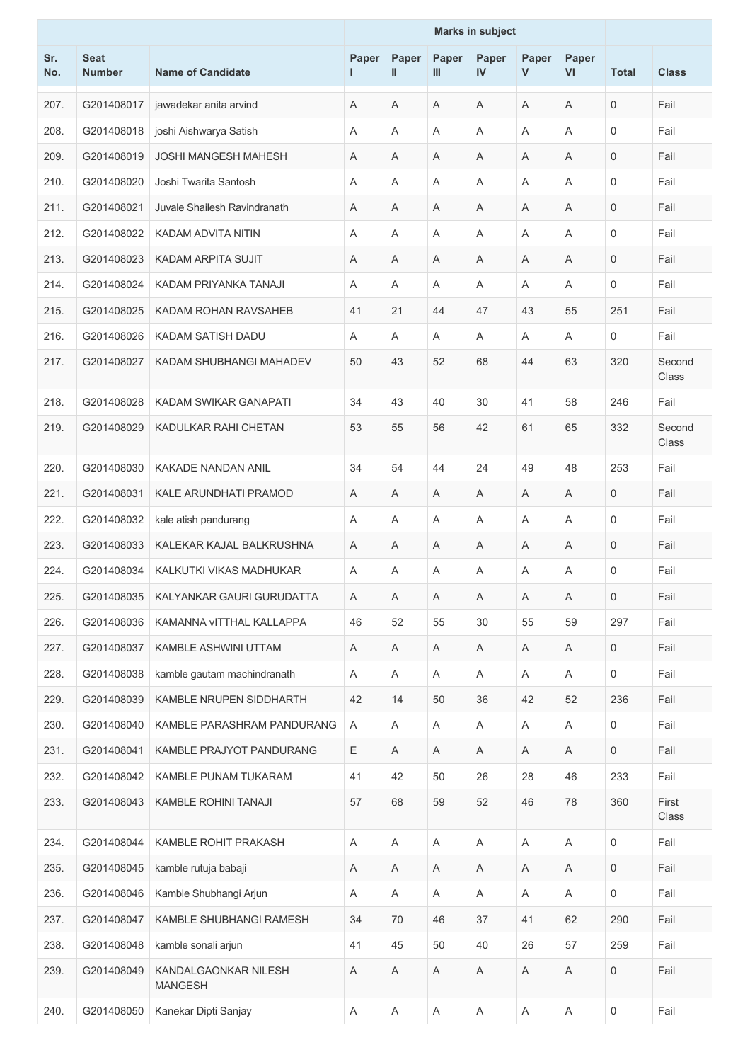|            |                              |                                        | <b>Marks in subject</b> |                           |            |             |            |                           |              |                 |
|------------|------------------------------|----------------------------------------|-------------------------|---------------------------|------------|-------------|------------|---------------------------|--------------|-----------------|
| Sr.<br>No. | <b>Seat</b><br><b>Number</b> | <b>Name of Candidate</b>               | Paper                   | Paper<br>$\mathbf{I}$     | Paper<br>Ш | Paper<br>IV | Paper<br>V | Paper<br>VI               | <b>Total</b> | <b>Class</b>    |
| 207.       | G201408017                   | jawadekar anita arvind                 | Α                       | A                         | A          | A           | A          | A                         | 0            | Fail            |
| 208.       | G201408018                   | joshi Aishwarya Satish                 | Α                       | A                         | Α          | Α           | Α          | A                         | $\mathbf 0$  | Fail            |
| 209.       | G201408019                   | <b>JOSHI MANGESH MAHESH</b>            | Α                       | $\overline{A}$            | A          | Α           | Α          | A                         | $\mathbf 0$  | Fail            |
| 210.       | G201408020                   | Joshi Twarita Santosh                  | A                       | A                         | A          | Α           | Α          | A                         | $\Omega$     | Fail            |
| 211.       | G201408021                   | Juvale Shailesh Ravindranath           | A                       | A                         | A          | A           | Α          | A                         | $\mathbf 0$  | Fail            |
| 212.       | G201408022                   | <b>KADAM ADVITA NITIN</b>              | Α                       | A                         | A          | Α           | Α          | A                         | $\mathbf 0$  | Fail            |
| 213.       | G201408023                   | <b>KADAM ARPITA SUJIT</b>              | Α                       | A                         | A          | Α           | Α          | A                         | $\mathbf 0$  | Fail            |
| 214.       | G201408024                   | KADAM PRIYANKA TANAJI                  | Α                       | A                         | A          | Α           | Α          | A                         | $\mathbf 0$  | Fail            |
| 215.       | G201408025                   | KADAM ROHAN RAVSAHEB                   | 41                      | 21                        | 44         | 47          | 43         | 55                        | 251          | Fail            |
| 216.       | G201408026                   | KADAM SATISH DADU                      | A                       | A                         | A          | A           | A          | A                         | $\mathbf 0$  | Fail            |
| 217.       | G201408027                   | KADAM SHUBHANGI MAHADEV                | 50                      | 43                        | 52         | 68          | 44         | 63                        | 320          | Second<br>Class |
| 218.       | G201408028                   | KADAM SWIKAR GANAPATI                  | 34                      | 43                        | 40         | 30          | 41         | 58                        | 246          | Fail            |
| 219.       | G201408029                   | KADULKAR RAHI CHETAN                   | 53                      | 55                        | 56         | 42          | 61         | 65                        | 332          | Second<br>Class |
| 220.       | G201408030                   | KAKADE NANDAN ANIL                     | 34                      | 54                        | 44         | 24          | 49         | 48                        | 253          | Fail            |
| 221.       | G201408031                   | <b>KALE ARUNDHATI PRAMOD</b>           | A                       | A                         | Α          | A           | Α          | A                         | $\mathbf 0$  | Fail            |
| 222.       | G201408032                   | kale atish pandurang                   | A                       | $\overline{A}$            | A          | Α           | Α          | $\overline{A}$            | $\mathbf 0$  | Fail            |
| 223.       | G201408033                   | KALEKAR KAJAL BALKRUSHNA               | A                       | Α                         | Α          | A           | Α          | Α                         | $\mathbf 0$  | Fail            |
| 224.       | G201408034                   | KALKUTKI VIKAS MADHUKAR                | A                       | A                         | A          | A           | Α          | A                         | $\mathbf 0$  | Fail            |
| 225.       | G201408035                   | KALYANKAR GAURI GURUDATTA              | Α                       | Α                         | Α          | Α           | Α          | $\mathsf{A}$              | $\mathbf 0$  | Fail            |
| 226.       | G201408036                   | KAMANNA VITTHAL KALLAPPA               | 46                      | 52                        | 55         | 30          | 55         | 59                        | 297          | Fail            |
| 227.       | G201408037                   | KAMBLE ASHWINI UTTAM                   | A                       | Α                         | A          | Α           | A          | Α                         | 0            | Fail            |
| 228.       | G201408038                   | kamble gautam machindranath            | A                       | Α                         | A          | Α           | A          | Α                         | $\mathbf 0$  | Fail            |
| 229.       | G201408039                   | KAMBLE NRUPEN SIDDHARTH                | 42                      | 14                        | 50         | 36          | 42         | 52                        | 236          | Fail            |
| 230.       | G201408040                   | KAMBLE PARASHRAM PANDURANG             | A                       | Α                         | A          | Α           | A          | Α                         | $\mathbf 0$  | Fail            |
| 231.       | G201408041                   | KAMBLE PRAJYOT PANDURANG               | Ε                       | A                         | Α          | Α           | A          | Α                         | $\mathbf 0$  | Fail            |
| 232.       | G201408042                   | KAMBLE PUNAM TUKARAM                   | 41                      | 42                        | 50         | 26          | 28         | 46                        | 233          | Fail            |
| 233.       | G201408043                   | KAMBLE ROHINI TANAJI                   | 57                      | 68                        | 59         | 52          | 46         | 78                        | 360          | First<br>Class  |
| 234.       | G201408044                   | KAMBLE ROHIT PRAKASH                   | Α                       | $\mathsf A$               | Α          | Α           | Α          | $\boldsymbol{\mathsf{A}}$ | $\mathbf 0$  | Fail            |
| 235.       | G201408045                   | kamble rutuja babaji                   | Α                       | Α                         | A          | Α           | A          | A                         | 0            | Fail            |
| 236.       | G201408046                   | Kamble Shubhangi Arjun                 | Α                       | Α                         | A          | Α           | A          | Α                         | $\mathbf 0$  | Fail            |
| 237.       | G201408047                   | KAMBLE SHUBHANGI RAMESH                | 34                      | 70                        | 46         | 37          | 41         | 62                        | 290          | Fail            |
| 238.       | G201408048                   | kamble sonali arjun                    | 41                      | 45                        | 50         | 40          | 26         | 57                        | 259          | Fail            |
| 239.       | G201408049                   | KANDALGAONKAR NILESH<br><b>MANGESH</b> | Α                       | $\mathsf A$               | Α          | Α           | Α          | $\boldsymbol{\mathsf{A}}$ | $\mathbf 0$  | Fail            |
| 240.       | G201408050                   | Kanekar Dipti Sanjay                   | Α                       | $\boldsymbol{\mathsf{A}}$ | A          | Α           | A          | $\boldsymbol{\mathsf{A}}$ | $\mathsf 0$  | Fail            |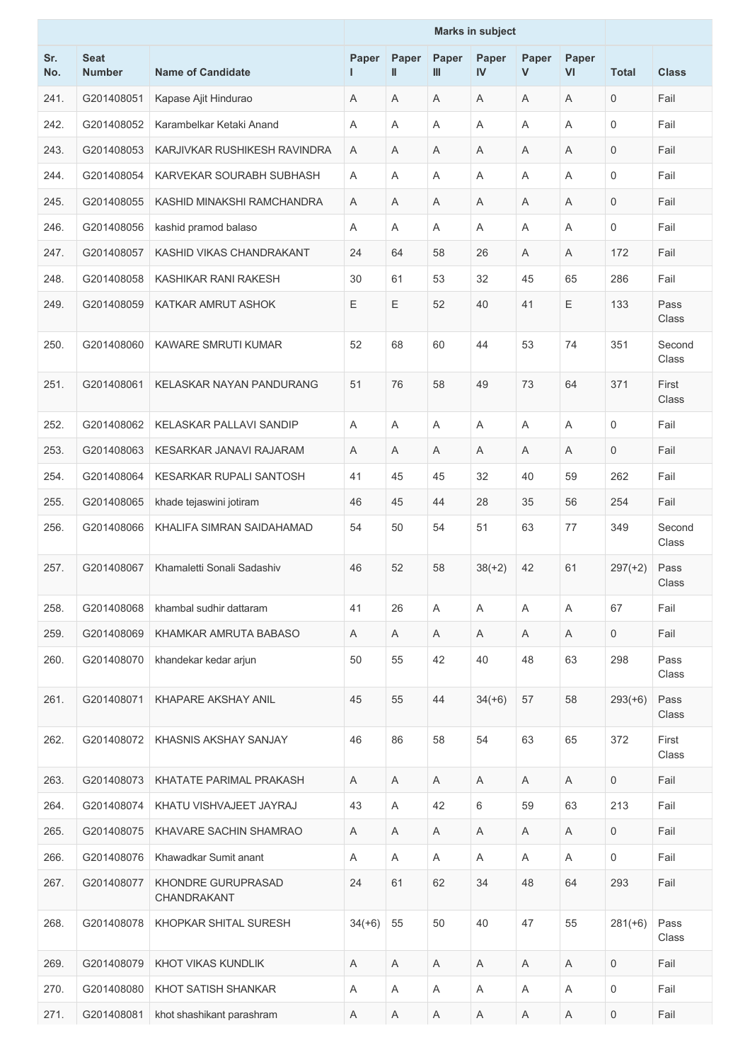|            |                              |                                   | <b>Marks in subject</b> |                           |            |             |            |              |                     |                 |
|------------|------------------------------|-----------------------------------|-------------------------|---------------------------|------------|-------------|------------|--------------|---------------------|-----------------|
| Sr.<br>No. | <b>Seat</b><br><b>Number</b> | <b>Name of Candidate</b>          | Paper                   | Paper<br>$\mathbf{I}$     | Paper<br>Ш | Paper<br>IV | Paper<br>V | Paper<br>VI  | <b>Total</b>        | <b>Class</b>    |
| 241.       | G201408051                   | Kapase Ajit Hindurao              | A                       | A                         | A          | A           | Α          | A            | $\mathbf 0$         | Fail            |
| 242.       | G201408052                   | Karambelkar Ketaki Anand          | A                       | A                         | A          | Α           | Α          | A            | $\Omega$            | Fail            |
| 243.       | G201408053                   | KARJIVKAR RUSHIKESH RAVINDRA      | A                       | Α                         | Α          | A           | Α          | Α            | 0                   | Fail            |
| 244.       | G201408054                   | KARVEKAR SOURABH SUBHASH          | A                       | A                         | Α          | Α           | Α          | A            | $\mathbf 0$         | Fail            |
| 245.       | G201408055                   | KASHID MINAKSHI RAMCHANDRA        | A                       | A                         | A          | A           | A          | A            | $\mathbf 0$         | Fail            |
| 246.       | G201408056                   | kashid pramod balaso              | A                       | A                         | A          | Α           | Α          | A            | $\mathbf 0$         | Fail            |
| 247.       | G201408057                   | KASHID VIKAS CHANDRAKANT          | 24                      | 64                        | 58         | 26          | Α          | A            | 172                 | Fail            |
| 248.       | G201408058                   | KASHIKAR RANI RAKESH              | 30                      | 61                        | 53         | 32          | 45         | 65           | 286                 | Fail            |
| 249.       | G201408059                   | KATKAR AMRUT ASHOK                | Ε                       | Ε                         | 52         | 40          | 41         | $\mathsf E$  | 133                 | Pass<br>Class   |
| 250.       | G201408060                   | <b>KAWARE SMRUTI KUMAR</b>        | 52                      | 68                        | 60         | 44          | 53         | 74           | 351                 | Second<br>Class |
| 251.       | G201408061                   | KELASKAR NAYAN PANDURANG          | 51                      | 76                        | 58         | 49          | 73         | 64           | 371                 | First<br>Class  |
| 252.       | G201408062                   | KELASKAR PALLAVI SANDIP           | A                       | A                         | A          | A           | Α          | A            | $\mathbf 0$         | Fail            |
| 253.       | G201408063                   | KESARKAR JANAVI RAJARAM           | Α                       | A                         | A          | A           | Α          | A            | $\mathbf 0$         | Fail            |
| 254.       | G201408064                   | <b>KESARKAR RUPALI SANTOSH</b>    | 41                      | 45                        | 45         | 32          | 40         | 59           | 262                 | Fail            |
| 255.       | G201408065                   | khade tejaswini jotiram           | 46                      | 45                        | 44         | 28          | 35         | 56           | 254                 | Fail            |
| 256.       | G201408066                   | KHALIFA SIMRAN SAIDAHAMAD         | 54                      | 50                        | 54         | 51          | 63         | 77           | 349                 | Second<br>Class |
| 257.       | G201408067                   | Khamaletti Sonali Sadashiv        | 46                      | 52                        | 58         | $38(+2)$    | 42         | 61           | $297(+2)$           | Pass<br>Class   |
| 258.       | G201408068                   | khambal sudhir dattaram           | 41                      | 26                        | Α          | A           | Α          | A            | 67                  | Fail            |
| 259.       | G201408069                   | KHAMKAR AMRUTA BABASO             | A                       | A                         | A          | A           | Α          | A            | $\mathbf 0$         | Fail            |
| 260.       | G201408070                   | khandekar kedar arjun             | 50                      | 55                        | 42         | 40          | 48         | 63           | 298                 | Pass<br>Class   |
| 261.       | G201408071                   | KHAPARE AKSHAY ANIL               | 45                      | 55                        | 44         | $34(+6)$    | 57         | 58           | $293(+6)$           | Pass<br>Class   |
| 262.       | G201408072                   | KHASNIS AKSHAY SANJAY             | 46                      | 86                        | 58         | 54          | 63         | 65           | 372                 | First<br>Class  |
| 263.       | G201408073                   | KHATATE PARIMAL PRAKASH           | A                       | $\boldsymbol{\mathsf{A}}$ | A          | Α           | A          | A            | $\mathbf{0}$        | Fail            |
| 264.       | G201408074                   | KHATU VISHVAJEET JAYRAJ           | 43                      | A                         | 42         | 6           | 59         | 63           | 213                 | Fail            |
| 265.       | G201408075                   | KHAVARE SACHIN SHAMRAO            | A                       | Α                         | A          | Α           | Α          | A            | 0                   | Fail            |
| 266.       | G201408076                   | Khawadkar Sumit anant             | A                       | Α                         | Α          | Α           | Α          | Α            | $\mathbf 0$         | Fail            |
| 267.       | G201408077                   | KHONDRE GURUPRASAD<br>CHANDRAKANT | 24                      | 61                        | 62         | 34          | 48         | 64           | 293                 | Fail            |
| 268.       | G201408078                   | KHOPKAR SHITAL SURESH             | $34(+6)$                | 55                        | 50         | 40          | 47         | 55           | $281(+6)$           | Pass<br>Class   |
| 269.       | G201408079                   | KHOT VIKAS KUNDLIK                | A                       | Α                         | Α          | Α           | Α          | A            | $\mathbf{0}$        | Fail            |
| 270.       | G201408080                   | KHOT SATISH SHANKAR               | Α                       | Α                         | Α          | Α           | Α          | Α            | 0                   | Fail            |
| 271.       | G201408081                   | khot shashikant parashram         | A                       | A                         | Α          | Α           | Α          | $\mathsf{A}$ | $\mathsf{O}\xspace$ | Fail            |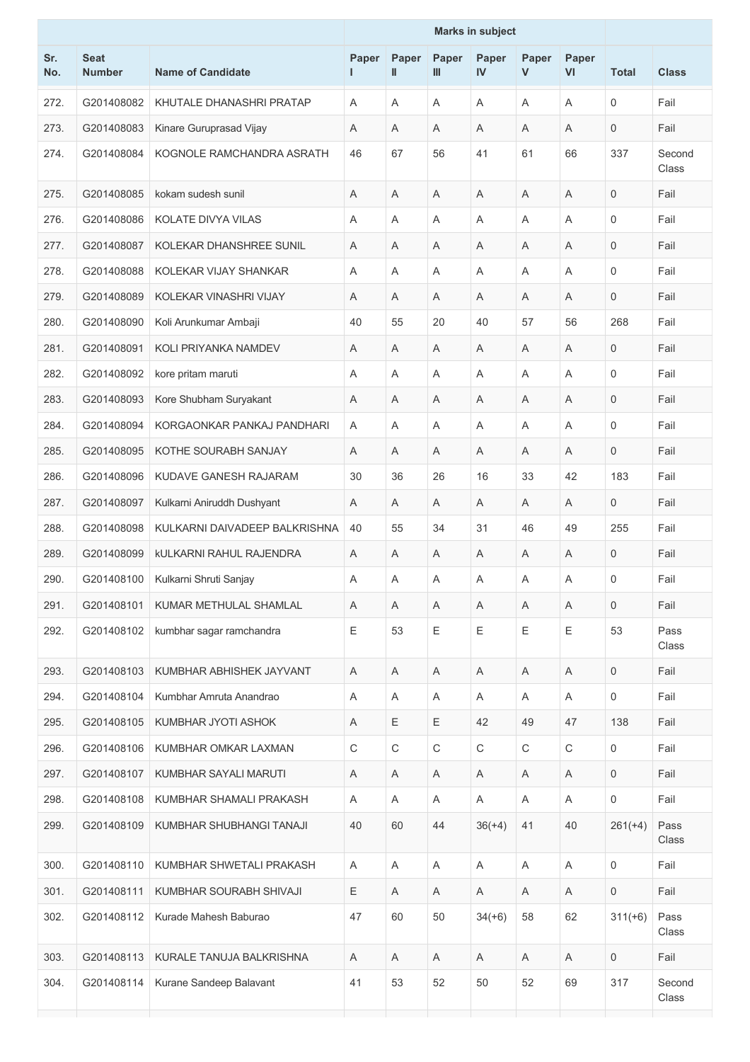|            |                              |                                | <b>Marks in subject</b> |             |             |             |            |                         |                     |                 |
|------------|------------------------------|--------------------------------|-------------------------|-------------|-------------|-------------|------------|-------------------------|---------------------|-----------------|
| Sr.<br>No. | <b>Seat</b><br><b>Number</b> | <b>Name of Candidate</b>       | Paper                   | Paper<br>Ш  | Paper<br>Ш  | Paper<br>IV | Paper<br>V | Paper<br>VI             | <b>Total</b>        | <b>Class</b>    |
| 272.       | G201408082                   | KHUTALE DHANASHRI PRATAP       | A                       | A           | A           | A           | Α          | A                       | $\mathbf 0$         | Fail            |
| 273.       | G201408083                   | Kinare Guruprasad Vijay        | A                       | A           | Α           | A           | Α          | A                       | 0                   | Fail            |
| 274.       | G201408084                   | KOGNOLE RAMCHANDRA ASRATH      | 46                      | 67          | 56          | 41          | 61         | 66                      | 337                 | Second<br>Class |
| 275.       | G201408085                   | kokam sudesh sunil             | A                       | A           | Α           | A           | A          | A                       | 0                   | Fail            |
| 276.       | G201408086                   | KOLATE DIVYA VILAS             | A                       | A           | Α           | Α           | Α          | A                       | $\mathbf 0$         | Fail            |
| 277.       | G201408087                   | KOLEKAR DHANSHREE SUNIL        | A                       | A           | A           | A           | Α          | $\overline{\mathsf{A}}$ | 0                   | Fail            |
| 278.       | G201408088                   | KOLEKAR VIJAY SHANKAR          | Α                       | Α           | Α           | A           | Α          | A                       | $\mathbf 0$         | Fail            |
| 279.       | G201408089                   | KOLEKAR VINASHRI VIJAY         | A                       | A           | Α           | A           | A          | A                       | 0                   | Fail            |
| 280.       | G201408090                   | Koli Arunkumar Ambaji          | 40                      | 55          | 20          | 40          | 57         | 56                      | 268                 | Fail            |
| 281.       | G201408091                   | KOLI PRIYANKA NAMDEV           | A                       | Α           | Α           | Α           | A          | A                       | 0                   | Fail            |
| 282.       | G201408092                   | kore pritam maruti             | A                       | A           | Α           | A           | Α          | $\overline{A}$          | $\mathbf 0$         | Fail            |
| 283.       | G201408093                   | Kore Shubham Suryakant         | Α                       | A           | Α           | A           | A          | A                       | 0                   | Fail            |
| 284.       | G201408094                   | KORGAONKAR PANKAJ PANDHARI     | A                       | A           | A           | A           | A          | $\overline{A}$          | $\mathbf 0$         | Fail            |
| 285.       | G201408095                   | KOTHE SOURABH SANJAY           | A                       | A           | Α           | A           | A          | A                       | 0                   | Fail            |
| 286.       | G201408096                   | KUDAVE GANESH RAJARAM          | 30                      | 36          | 26          | 16          | 33         | 42                      | 183                 | Fail            |
| 287.       | G201408097                   | Kulkarni Aniruddh Dushyant     | A                       | A           | A           | A           | Α          | A                       | 0                   | Fail            |
| 288.       | G201408098                   | KULKARNI DAIVADEEP BALKRISHNA  | 40                      | 55          | 34          | 31          | 46         | 49                      | 255                 | Fail            |
| 289.       | G201408099                   | <b>kULKARNI RAHUL RAJENDRA</b> | A                       | A           | Α           | A           | A          | A                       | 0                   | Fail            |
| 290.       | G201408100                   | Kulkarni Shruti Sanjay         | A                       | A           | Α           | A           | Α          | A                       | 0                   | Fail            |
| 291.       | G201408101                   | KUMAR METHULAL SHAMLAL         | A                       | A           | Α           | A           | A          | A                       | $\mathbf 0$         | Fail            |
| 292.       | G201408102                   | kumbhar sagar ramchandra       | E                       | 53          | Ε           | $\mathsf E$ | Ε          | $\mathsf E$             | 53                  | Pass<br>Class   |
| 293.       | G201408103                   | KUMBHAR ABHISHEK JAYVANT       | Α                       | A           | A           | Α           | A          | $\mathsf{A}$            | $\mathsf{O}\xspace$ | Fail            |
| 294.       | G201408104                   | Kumbhar Amruta Anandrao        | A                       | Α           | Α           | Α           | A          | A                       | 0                   | Fail            |
| 295.       | G201408105                   | KUMBHAR JYOTI ASHOK            | Α                       | $\mathsf E$ | Ε           | 42          | 49         | 47                      | 138                 | Fail            |
| 296.       | G201408106                   | KUMBHAR OMKAR LAXMAN           | $\mathsf C$             | C           | $\mathsf C$ | $\mathsf C$ | С          | $\mathsf C$             | 0                   | Fail            |
| 297.       | G201408107                   | KUMBHAR SAYALI MARUTI          | Α                       | Α           | Α           | Α           | A          | A                       | $\mathbf 0$         | Fail            |
| 298.       | G201408108                   | KUMBHAR SHAMALI PRAKASH        | A                       | A           | A           | Α           | Α          | $\mathsf{A}$            | $\mathsf{O}\xspace$ | Fail            |
| 299.       | G201408109                   | KUMBHAR SHUBHANGI TANAJI       | 40                      | 60          | 44          | $36(+4)$    | 41         | 40                      | $261(+4)$           | Pass<br>Class   |
| 300.       | G201408110                   | KUMBHAR SHWETALI PRAKASH       | Α                       | Α           | Α           | A           | A          | A                       | 0                   | Fail            |
| 301.       | G201408111                   | KUMBHAR SOURABH SHIVAJI        | Ε                       | Α           | Α           | Α           | A          | A                       | 0                   | Fail            |
| 302.       | G201408112                   | Kurade Mahesh Baburao          | 47                      | 60          | 50          | $34(+6)$    | 58         | 62                      | $311(+6)$           | Pass<br>Class   |
| 303.       | G201408113                   | KURALE TANUJA BALKRISHNA       | Α                       | A           | A           | A           | Α          | A                       | $\mathbf 0$         | Fail            |
| 304.       | G201408114                   | Kurane Sandeep Balavant        | 41                      | 53          | 52          | 50          | 52         | 69                      | 317                 | Second<br>Class |
|            |                              |                                |                         |             |             |             |            |                         |                     |                 |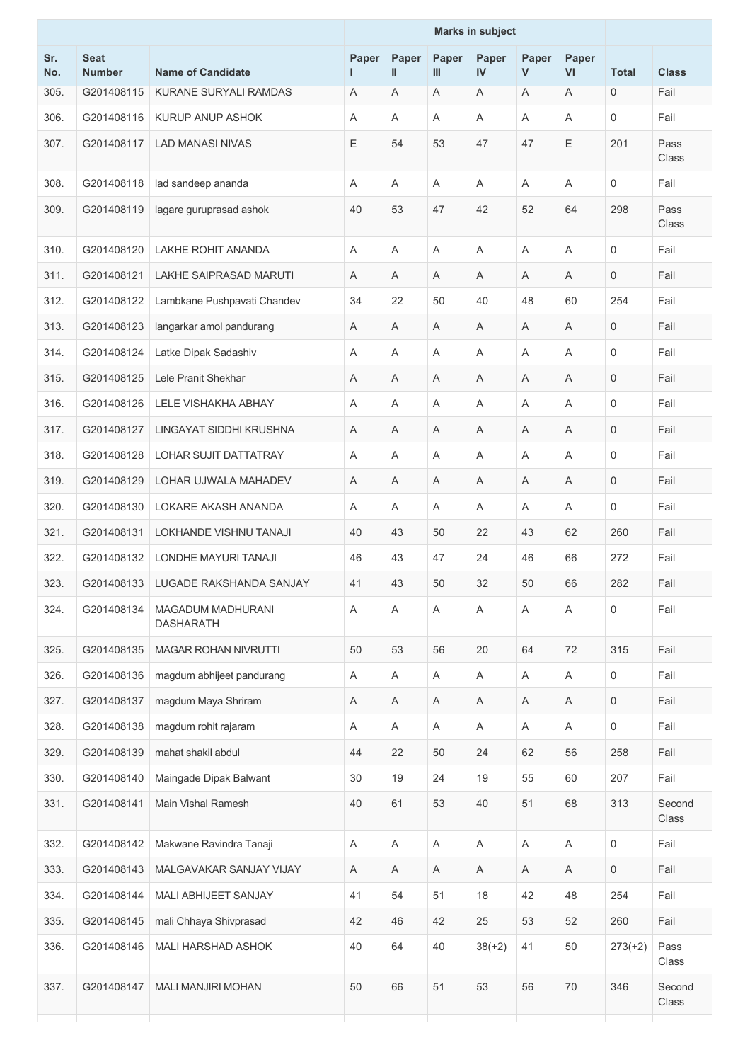|            |                              |                                              | <b>Marks in subject</b> |                           |            |             |            |                           |              |                 |
|------------|------------------------------|----------------------------------------------|-------------------------|---------------------------|------------|-------------|------------|---------------------------|--------------|-----------------|
| Sr.<br>No. | <b>Seat</b><br><b>Number</b> | <b>Name of Candidate</b>                     | Paper                   | Paper<br>$\mathbf{I}$     | Paper<br>Ш | Paper<br>IV | Paper<br>V | Paper<br><b>VI</b>        | <b>Total</b> | <b>Class</b>    |
| 305.       | G201408115                   | KURANE SURYALI RAMDAS                        | Α                       | Α                         | A          | A           | A          | Α                         | $\mathbf 0$  | Fail            |
| 306.       | G201408116                   | KURUP ANUP ASHOK                             | A                       | A                         | A          | A           | Α          | A                         | $\mathbf 0$  | Fail            |
| 307.       | G201408117                   | <b>LAD MANASI NIVAS</b>                      | Ε                       | 54                        | 53         | 47          | 47         | E                         | 201          | Pass<br>Class   |
| 308.       | G201408118                   | lad sandeep ananda                           | Α                       | A                         | Α          | Α           | Α          | A                         | $\mathbf 0$  | Fail            |
| 309.       | G201408119                   | lagare guruprasad ashok                      | 40                      | 53                        | 47         | 42          | 52         | 64                        | 298          | Pass<br>Class   |
| 310.       | G201408120                   | <b>LAKHE ROHIT ANANDA</b>                    | Α                       | A                         | A          | Α           | Α          | A                         | $\mathbf 0$  | Fail            |
| 311.       | G201408121                   | <b>LAKHE SAIPRASAD MARUTI</b>                | A                       | A                         | Α          | A           | Α          | A                         | $\mathbf 0$  | Fail            |
| 312.       | G201408122                   | Lambkane Pushpavati Chandev                  | 34                      | 22                        | 50         | 40          | 48         | 60                        | 254          | Fail            |
| 313.       | G201408123                   | langarkar amol pandurang                     | Α                       | A                         | Α          | Α           | Α          | A                         | $\mathbf 0$  | Fail            |
| 314.       | G201408124                   | Latke Dipak Sadashiv                         | A                       | A                         | Α          | Α           | Α          | A                         | $\mathbf 0$  | Fail            |
| 315.       | G201408125                   | Lele Pranit Shekhar                          | Α                       | Α                         | Α          | Α           | Α          | A                         | 0            | Fail            |
| 316.       | G201408126                   | LELE VISHAKHA ABHAY                          | Α                       | A                         | Α          | Α           | Α          | Α                         | $\mathbf 0$  | Fail            |
| 317.       | G201408127                   | LINGAYAT SIDDHI KRUSHNA                      | Α                       | A                         | A          | Α           | Α          | A                         | $\mathbf 0$  | Fail            |
| 318.       | G201408128                   | <b>LOHAR SUJIT DATTATRAY</b>                 | Α                       | A                         | Α          | Α           | Α          | A                         | $\mathbf 0$  | Fail            |
| 319.       | G201408129                   | LOHAR UJWALA MAHADEV                         | Α                       | A                         | Α          | A           | Α          | A                         | $\mathbf 0$  | Fail            |
| 320.       | G201408130                   | LOKARE AKASH ANANDA                          | Α                       | Α                         | Α          | Α           | Α          | Α                         | 0            | Fail            |
| 321.       | G201408131                   | <b>LOKHANDE VISHNU TANAJI</b>                | 40                      | 43                        | 50         | 22          | 43         | 62                        | 260          | Fail            |
| 322.       | G201408132                   | LONDHE MAYURI TANAJI                         | 46                      | 43                        | 47         | 24          | 46         | 66                        | 272          | Fail            |
| 323.       |                              | G201408133 LUGADE RAKSHANDA SANJAY           | 41                      | 43                        | 50         | 32          | 50         | 66                        | 282          | Fail            |
| 324.       | G201408134                   | <b>MAGADUM MADHURANI</b><br><b>DASHARATH</b> | A                       | A                         | A          | A           | A          | $\overline{A}$            | $\mathbf 0$  | Fail            |
| 325.       | G201408135                   | <b>MAGAR ROHAN NIVRUTTI</b>                  | 50                      | 53                        | 56         | 20          | 64         | 72                        | 315          | Fail            |
| 326.       | G201408136                   | magdum abhijeet pandurang                    | Α                       | $\boldsymbol{\mathsf{A}}$ | A          | Α           | A          | $\boldsymbol{\mathsf{A}}$ | 0            | Fail            |
| 327.       | G201408137                   | magdum Maya Shriram                          | Α                       | Α                         | A          | Α           | Α          | $\boldsymbol{\mathsf{A}}$ | $\mathbf 0$  | Fail            |
| 328.       | G201408138                   | magdum rohit rajaram                         | A                       | A                         | A          | A           | A          | A                         | $\mathbf 0$  | Fail            |
| 329.       | G201408139                   | mahat shakil abdul                           | 44                      | 22                        | 50         | 24          | 62         | 56                        | 258          | Fail            |
| 330.       | G201408140                   | Maingade Dipak Balwant                       | 30                      | 19                        | 24         | 19          | 55         | 60                        | 207          | Fail            |
| 331.       | G201408141                   | Main Vishal Ramesh                           | 40                      | 61                        | 53         | 40          | 51         | 68                        | 313          | Second<br>Class |
| 332.       | G201408142                   | Makwane Ravindra Tanaji                      | A                       | A                         | Α          | A           | Α          | A                         | $\mathbf 0$  | Fail            |
| 333.       | G201408143                   | MALGAVAKAR SANJAY VIJAY                      | A                       | Α                         | A          | A           | A          | Α                         | 0            | Fail            |
| 334.       | G201408144                   | MALI ABHIJEET SANJAY                         | 41                      | 54                        | 51         | 18          | 42         | 48                        | 254          | Fail            |
| 335.       | G201408145                   | mali Chhaya Shivprasad                       | 42                      | 46                        | 42         | 25          | 53         | 52                        | 260          | Fail            |
| 336.       | G201408146                   | <b>MALI HARSHAD ASHOK</b>                    | 40                      | 64                        | 40         | $38(+2)$    | 41         | 50                        | $273(+2)$    | Pass<br>Class   |
| 337.       | G201408147                   | <b>MALI MANJIRI MOHAN</b>                    | 50                      | 66                        | 51         | 53          | 56         | 70                        | 346          | Second<br>Class |
|            |                              |                                              |                         |                           |            |             |            |                           |              |                 |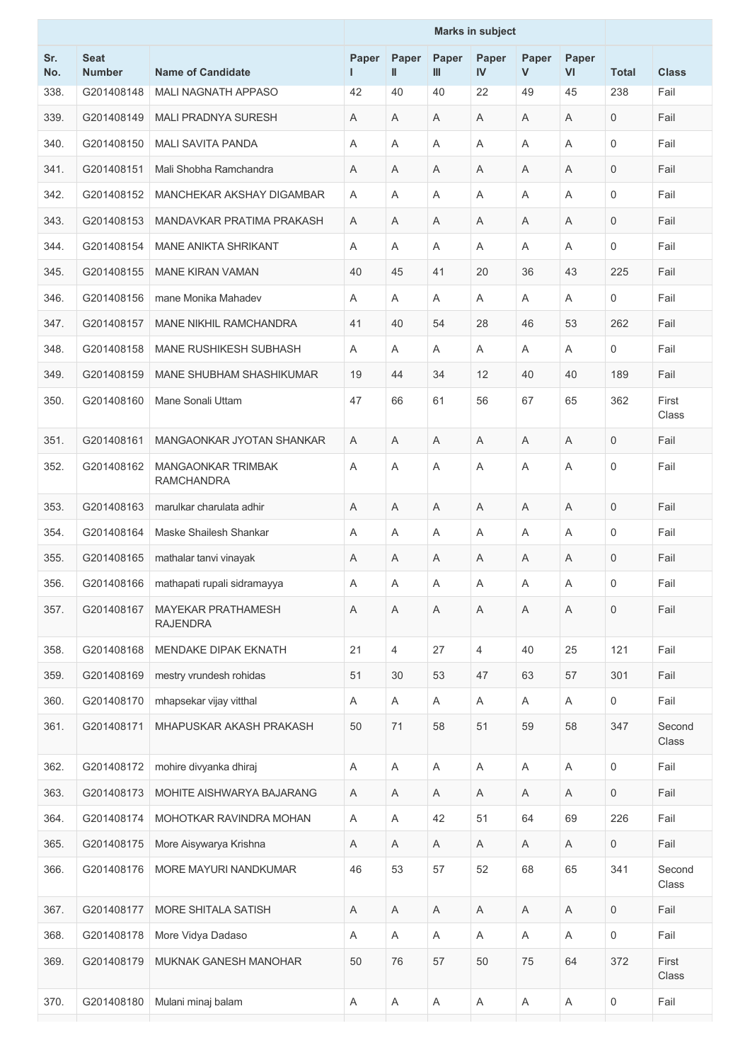|            |                              |                                                | <b>Marks in subject</b> |                       |            |                |            |                           |                |                 |
|------------|------------------------------|------------------------------------------------|-------------------------|-----------------------|------------|----------------|------------|---------------------------|----------------|-----------------|
| Sr.<br>No. | <b>Seat</b><br><b>Number</b> | <b>Name of Candidate</b>                       | Paper                   | Paper<br>$\mathbf{I}$ | Paper<br>Ш | Paper<br>IV    | Paper<br>V | Paper<br>VI               | <b>Total</b>   | <b>Class</b>    |
| 338.       | G201408148                   | <b>MALI NAGNATH APPASO</b>                     | 42                      | 40                    | 40         | 22             | 49         | 45                        | 238            | Fail            |
| 339.       | G201408149                   | <b>MALI PRADNYA SURESH</b>                     | Α                       | A                     | Α          | A              | Α          | A                         | $\mathbf 0$    | Fail            |
| 340.       | G201408150                   | <b>MALI SAVITA PANDA</b>                       | Α                       | Α                     | Α          | A              | Α          | A                         | $\mathbf 0$    | Fail            |
| 341.       | G201408151                   | Mali Shobha Ramchandra                         | A                       | A                     | A          | A              | A          | A                         | $\mathbf 0$    | Fail            |
| 342.       | G201408152                   | MANCHEKAR AKSHAY DIGAMBAR                      | A                       | A                     | Α          | A              | Α          | A                         | $\mathbf 0$    | Fail            |
| 343.       | G201408153                   | MANDAVKAR PRATIMA PRAKASH                      | A                       | A                     | Α          | A              | Α          | A                         | $\mathbf 0$    | Fail            |
| 344.       | G201408154                   | <b>MANE ANIKTA SHRIKANT</b>                    | A                       | A                     | A          | A              | A          | A                         | $\mathbf 0$    | Fail            |
| 345.       | G201408155                   | <b>MANE KIRAN VAMAN</b>                        | 40                      | 45                    | 41         | 20             | 36         | 43                        | 225            | Fail            |
| 346.       | G201408156                   | mane Monika Mahadev                            | Α                       | A                     | Α          | A              | A          | A                         | 0              | Fail            |
| 347.       | G201408157                   | MANE NIKHIL RAMCHANDRA                         | 41                      | 40                    | 54         | 28             | 46         | 53                        | 262            | Fail            |
| 348.       | G201408158                   | <b>MANE RUSHIKESH SUBHASH</b>                  | A                       | A                     | Α          | A              | Α          | A                         | 0              | Fail            |
| 349.       | G201408159                   | MANE SHUBHAM SHASHIKUMAR                       | 19                      | 44                    | 34         | 12             | 40         | 40                        | 189            | Fail            |
| 350.       | G201408160                   | Mane Sonali Uttam                              | 47                      | 66                    | 61         | 56             | 67         | 65                        | 362            | First<br>Class  |
| 351.       | G201408161                   | MANGAONKAR JYOTAN SHANKAR                      | A                       | A                     | Α          | A              | A          | A                         | $\mathbf 0$    | Fail            |
| 352.       | G201408162                   | <b>MANGAONKAR TRIMBAK</b><br><b>RAMCHANDRA</b> | A                       | A                     | Α          | A              | A          | A                         | $\mathbf 0$    | Fail            |
| 353.       | G201408163                   | marulkar charulata adhir                       | A                       | A                     | Α          | A              | Α          | A                         | $\mathbf 0$    | Fail            |
| 354.       | G201408164                   | Maske Shailesh Shankar                         | A                       | A                     | Α          | A              | Α          | A                         | 0              | Fail            |
| 355.       | G201408165                   | mathalar tanvi vinayak                         | Α                       | A                     | Α          | A              | Α          | A                         | $\mathsf 0$    | Fail            |
| 356.       | G201408166                   | mathapati rupali sidramayya                    | A                       | Α                     | A          | A              | Α          | A                         | 0              | Fail            |
| 357.       | G201408167                   | <b>MAYEKAR PRATHAMESH</b><br><b>RAJENDRA</b>   | A                       | A                     | Α          | A              | Α          | $\overline{A}$            | $\overline{0}$ | Fail            |
| 358.       | G201408168                   | MENDAKE DIPAK EKNATH                           | 21                      | $\overline{4}$        | 27         | $\overline{4}$ | 40         | 25                        | 121            | Fail            |
| 359.       | G201408169                   | mestry vrundesh rohidas                        | 51                      | 30                    | 53         | 47             | 63         | 57                        | 301            | Fail            |
| 360.       | G201408170                   | mhapsekar vijay vitthal                        | Α                       | A                     | Α          | Α              | A          | $\boldsymbol{\mathsf{A}}$ | 0              | Fail            |
| 361.       | G201408171                   | MHAPUSKAR AKASH PRAKASH                        | 50                      | 71                    | 58         | 51             | 59         | 58                        | 347            | Second<br>Class |
| 362.       | G201408172                   | mohire divyanka dhiraj                         | Α                       | A                     | A          | $\mathsf A$    | A          | Α                         | 0              | Fail            |
| 363.       | G201408173                   | MOHITE AISHWARYA BAJARANG                      | A                       | A                     | Α          | Α              | A          | Α                         | 0              | Fail            |
| 364.       | G201408174                   | MOHOTKAR RAVINDRA MOHAN                        | A                       | Α                     | 42         | 51             | 64         | 69                        | 226            | Fail            |
| 365.       | G201408175                   | More Aisywarya Krishna                         | Α                       | A                     | Α          | A              | A          | $\mathsf A$               | $\mathbf 0$    | Fail            |
| 366.       | G201408176                   | MORE MAYURI NANDKUMAR                          | 46                      | 53                    | 57         | 52             | 68         | 65                        | 341            | Second<br>Class |
| 367.       | G201408177                   | MORE SHITALA SATISH                            | Α                       | Α                     | Α          | Α              | Α          | Α                         | 0              | Fail            |
| 368.       | G201408178                   | More Vidya Dadaso                              | Α                       | A                     | Α          | A              | A          | $\boldsymbol{\mathsf{A}}$ | 0              | Fail            |
| 369.       | G201408179                   | MUKNAK GANESH MANOHAR                          | 50                      | 76                    | 57         | 50             | 75         | 64                        | 372            | First<br>Class  |
| 370.       | G201408180                   | Mulani minaj balam                             | A                       | Α                     | A          | Α              | A          | Α                         | 0              | Fail            |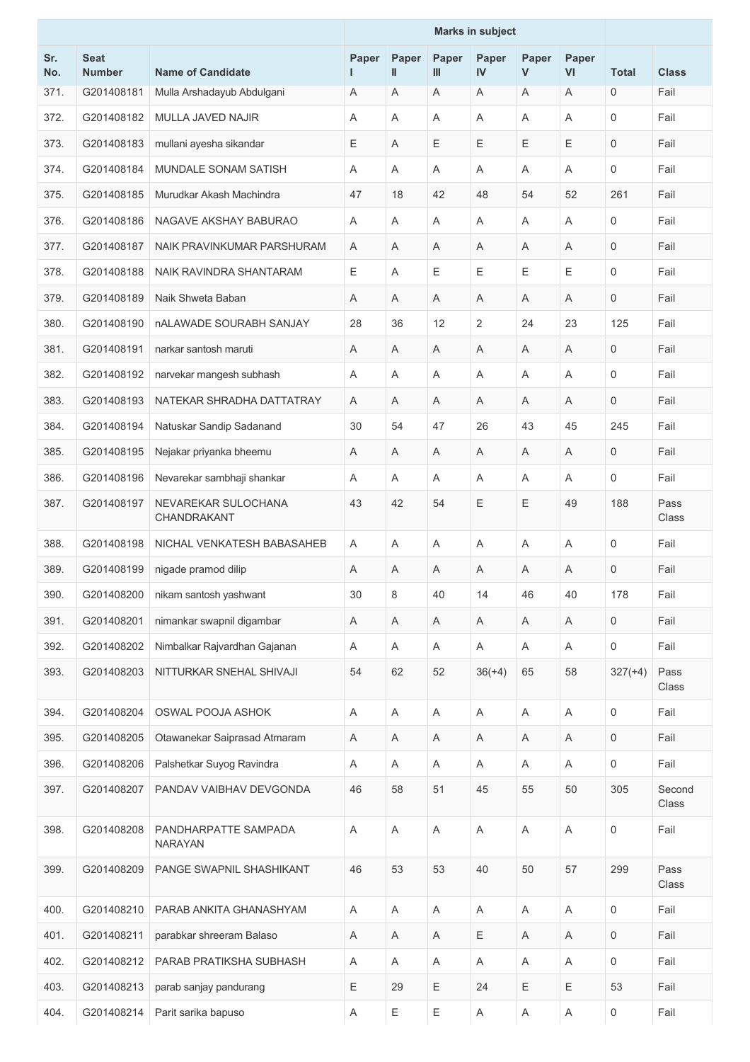|            |                              |                                        | <b>Marks in subject</b> |                       |            |                |             |                           |              |                 |
|------------|------------------------------|----------------------------------------|-------------------------|-----------------------|------------|----------------|-------------|---------------------------|--------------|-----------------|
| Sr.<br>No. | <b>Seat</b><br><b>Number</b> | <b>Name of Candidate</b>               | Paper                   | Paper<br>$\mathbf{I}$ | Paper<br>Ш | Paper<br>IV    | Paper<br>V  | Paper<br>V <sub>l</sub>   | <b>Total</b> | <b>Class</b>    |
| 371.       | G201408181                   | Mulla Arshadayub Abdulgani             | Α                       | A                     | A          | A              | Α           | A                         | $\mathbf 0$  | Fail            |
| 372.       | G201408182                   | MULLA JAVED NAJIR                      | A                       | A                     | Α          | Α              | Α           | A                         | $\mathbf 0$  | Fail            |
| 373.       | G201408183                   | mullani ayesha sikandar                | Ε                       | A                     | E          | Ε              | Ε           | $\mathsf E$               | $\mathbf 0$  | Fail            |
| 374.       | G201408184                   | MUNDALE SONAM SATISH                   | A                       | $\overline{A}$        | A          | A              | A           | $\overline{A}$            | $\mathbf 0$  | Fail            |
| 375.       | G201408185                   | Murudkar Akash Machindra               | 47                      | 18                    | 42         | 48             | 54          | 52                        | 261          | Fail            |
| 376.       | G201408186                   | NAGAVE AKSHAY BABURAO                  | A                       | A                     | A          | A              | Α           | A                         | $\mathbf 0$  | Fail            |
| 377.       | G201408187                   | NAIK PRAVINKUMAR PARSHURAM             | Α                       | A                     | Α          | Α              | Α           | A                         | $\mathbf 0$  | Fail            |
| 378.       | G201408188                   | NAIK RAVINDRA SHANTARAM                | Е                       | A                     | E          | Ε              | Ε           | Ε                         | $\mathbf 0$  | Fail            |
| 379.       | G201408189                   | Naik Shweta Baban                      | Α                       | A                     | Α          | A              | Α           | A                         | $\mathbf 0$  | Fail            |
| 380.       | G201408190                   | nALAWADE SOURABH SANJAY                | 28                      | 36                    | 12         | $\overline{2}$ | 24          | 23                        | 125          | Fail            |
| 381.       | G201408191                   | narkar santosh maruti                  | A                       | A                     | A          | A              | A           | A                         | $\mathbf 0$  | Fail            |
| 382.       | G201408192                   | narvekar mangesh subhash               | A                       | A                     | Α          | A              | A           | A                         | $\mathbf 0$  | Fail            |
| 383.       | G201408193                   | NATEKAR SHRADHA DATTATRAY              | Α                       | A                     | A          | A              | Α           | A                         | $\mathbf 0$  | Fail            |
| 384.       | G201408194                   | Natuskar Sandip Sadanand               | 30                      | 54                    | 47         | 26             | 43          | 45                        | 245          | Fail            |
| 385.       | G201408195                   | Nejakar priyanka bheemu                | Α                       | A                     | Α          | Α              | Α           | A                         | $\mathbf 0$  | Fail            |
| 386.       | G201408196                   | Nevarekar sambhaji shankar             | A                       | A                     | A          | A              | Α           | A                         | $\mathbf 0$  | Fail            |
| 387.       | G201408197                   | NEVAREKAR SULOCHANA<br>CHANDRAKANT     | 43                      | 42                    | 54         | E              | Ε           | 49                        | 188          | Pass<br>Class   |
| 388.       | G201408198                   | NICHAL VENKATESH BABASAHEB             | A                       | A                     | A          | A              | Α           | A                         | 0            | Fail            |
| 389.       | G201408199                   | nigade pramod dilip                    | Α                       | Α                     | A          | A              | Α           | A                         | $\mathbf{0}$ | Fail            |
| 390.       | G201408200                   | nikam santosh yashwant                 | 30                      | 8                     | 40         | 14             | 46          | 40                        | 178          | Fail            |
| 391.       | G201408201                   | nimankar swapnil digambar              | Α                       | A                     | Α          | A              | Α           | $\overline{\mathsf{A}}$   | $\mathbf 0$  | Fail            |
| 392.       | G201408202                   | Nimbalkar Rajvardhan Gajanan           | Α                       | A                     | Α          | A              | Α           | A                         | $\mathbf 0$  | Fail            |
| 393.       | G201408203                   | NITTURKAR SNEHAL SHIVAJI               | 54                      | 62                    | 52         | $36(+4)$       | 65          | 58                        | $327(+4)$    | Pass<br>Class   |
| 394.       | G201408204                   | <b>OSWAL POOJA ASHOK</b>               | A                       | Α                     | Α          | Α              | Α           | A                         | $\mathbf 0$  | Fail            |
| 395.       | G201408205                   | Otawanekar Saiprasad Atmaram           | Α                       | A                     | A          | Α              | Α           | A                         | 0            | Fail            |
| 396.       | G201408206                   | Palshetkar Suyog Ravindra              | Α                       | Α                     | Α          | Α              | A           | $\boldsymbol{\mathsf{A}}$ | $\mathbf 0$  | Fail            |
| 397.       | G201408207                   | PANDAV VAIBHAV DEVGONDA                | 46                      | 58                    | 51         | 45             | 55          | 50                        | 305          | Second<br>Class |
| 398.       | G201408208                   | PANDHARPATTE SAMPADA<br><b>NARAYAN</b> | Α                       | $\mathsf A$           | Α          | Α              | Α           | $\boldsymbol{\mathsf{A}}$ | $\mathbf 0$  | Fail            |
| 399.       | G201408209                   | PANGE SWAPNIL SHASHIKANT               | 46                      | 53                    | 53         | 40             | 50          | 57                        | 299          | Pass<br>Class   |
| 400.       | G201408210                   | PARAB ANKITA GHANASHYAM                | A                       | A                     | Α          | A              | Α           | A                         | $\mathbf 0$  | Fail            |
| 401.       | G201408211                   | parabkar shreeram Balaso               | Α                       | Α                     | A          | Ε              | Α           | A                         | 0            | Fail            |
| 402.       | G201408212                   | PARAB PRATIKSHA SUBHASH                | Α                       | A                     | Α          | Α              | Α           | $\boldsymbol{\mathsf{A}}$ | $\mathbf 0$  | Fail            |
| 403.       | G201408213                   | parab sanjay pandurang                 | $\mathsf E$             | 29                    | Ε          | 24             | $\mathsf E$ | $\mathsf E$               | 53           | Fail            |
| 404.       | G201408214                   | Parit sarika bapuso                    | A                       | Ε                     | Ε          | Α              | Α           | Α                         | 0            | Fail            |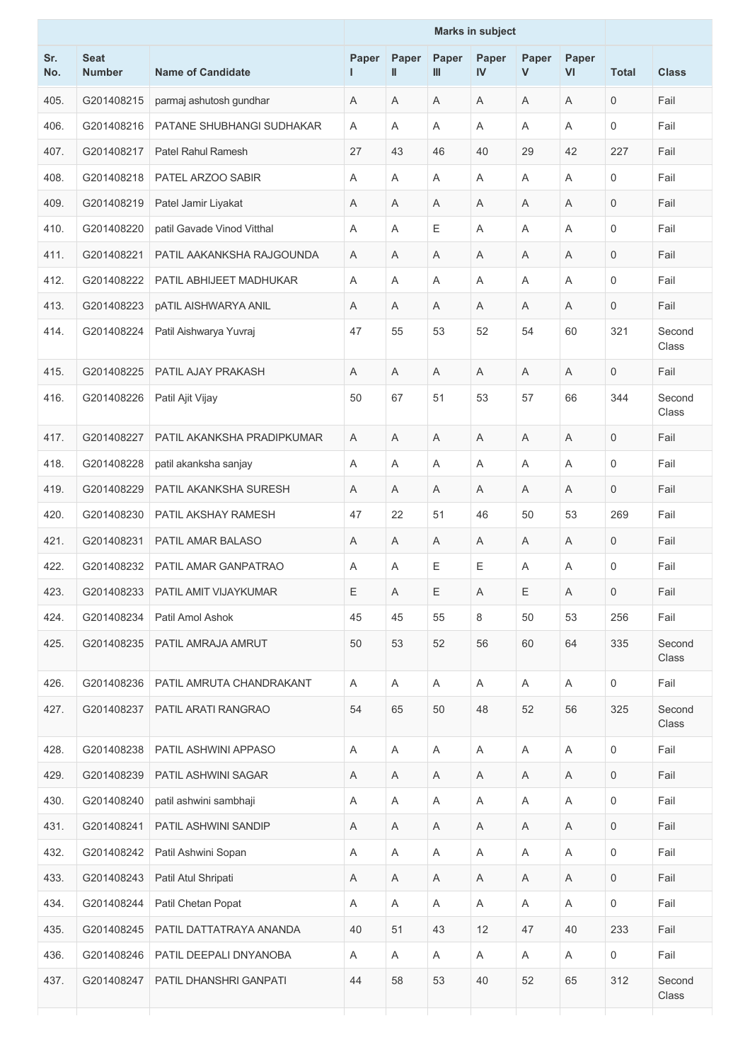|            |                              |                             |            |                       |            | <b>Marks in subject</b> |            |             |              |                 |
|------------|------------------------------|-----------------------------|------------|-----------------------|------------|-------------------------|------------|-------------|--------------|-----------------|
| Sr.<br>No. | <b>Seat</b><br><b>Number</b> | <b>Name of Candidate</b>    | Paper<br>ш | Paper<br>$\mathbf{I}$ | Paper<br>Ш | Paper<br>IV             | Paper<br>V | Paper<br>VI | <b>Total</b> | <b>Class</b>    |
| 405.       | G201408215                   | parmaj ashutosh gundhar     | A          | A                     | A          | A                       | A          | A           | $\mathbf 0$  | Fail            |
| 406.       | G201408216                   | PATANE SHUBHANGI SUDHAKAR   | A          | $\overline{A}$        | Α          | A                       | A          | A           | 0            | Fail            |
| 407.       | G201408217                   | Patel Rahul Ramesh          | 27         | 43                    | 46         | 40                      | 29         | 42          | 227          | Fail            |
| 408.       | G201408218                   | PATEL ARZOO SABIR           | A          | A                     | A          | A                       | A          | A           | 0            | Fail            |
| 409.       | G201408219                   | Patel Jamir Liyakat         | Α          | Α                     | Α          | A                       | Α          | A           | 0            | Fail            |
| 410.       | G201408220                   | patil Gavade Vinod Vitthal  | A          | A                     | Е          | A                       | A          | A           | $\mathbf 0$  | Fail            |
| 411.       | G201408221                   | PATIL AAKANKSHA RAJGOUNDA   | A          | A                     | A          | A                       | Α          | A           | 0            | Fail            |
| 412.       | G201408222                   | PATIL ABHIJEET MADHUKAR     | A          | A                     | Α          | Α                       | A          | A           | $\Omega$     | Fail            |
| 413.       | G201408223                   | <b>pATIL AISHWARYA ANIL</b> | A          | A                     | A          | A                       | A          | A           | 0            | Fail            |
| 414.       | G201408224                   | Patil Aishwarya Yuvraj      | 47         | 55                    | 53         | 52                      | 54         | 60          | 321          | Second<br>Class |
| 415.       | G201408225                   | PATIL AJAY PRAKASH          | A          | A                     | Α          | A                       | A          | A           | 0            | Fail            |
| 416.       | G201408226                   | Patil Ajit Vijay            | 50         | 67                    | 51         | 53                      | 57         | 66          | 344          | Second<br>Class |
| 417.       | G201408227                   | PATIL AKANKSHA PRADIPKUMAR  | A          | A                     | Α          | A                       | Α          | A           | 0            | Fail            |
| 418.       | G201408228                   | patil akanksha sanjay       | A          | A                     | Α          | A                       | A          | A           | $\mathbf 0$  | Fail            |
| 419.       | G201408229                   | PATIL AKANKSHA SURESH       | A          | A                     | Α          | A                       | A          | A           | 0            | Fail            |
| 420.       | G201408230                   | PATIL AKSHAY RAMESH         | 47         | 22                    | 51         | 46                      | 50         | 53          | 269          | Fail            |
| 421.       | G201408231                   | PATIL AMAR BALASO           | A          | A                     | Α          | A                       | A          | A           | 0            | Fail            |
| 422.       | G201408232                   | PATIL AMAR GANPATRAO        | Α          | Α                     | Ε          | Ε                       | Α          | A           | 0            | Fail            |
| 423.       | G201408233                   | PATIL AMIT VIJAYKUMAR       | Ε          | A                     | Е          | Α                       | Ε          | A           | 0            | Fail            |
| 424.       | G201408234                   | Patil Amol Ashok            | 45         | 45                    | 55         | 8                       | 50         | 53          | 256          | Fail            |
| 425.       | G201408235                   | PATIL AMRAJA AMRUT          | 50         | 53                    | 52         | 56                      | 60         | 64          | 335          | Second<br>Class |
| 426.       | G201408236                   | PATIL AMRUTA CHANDRAKANT    | Α          | Α                     | Α          | Α                       | Α          | A           | $\mathbf 0$  | Fail            |
| 427.       | G201408237                   | PATIL ARATI RANGRAO         | 54         | 65                    | 50         | 48                      | 52         | 56          | 325          | Second<br>Class |
| 428.       | G201408238                   | PATIL ASHWINI APPASO        | Α          | Α                     | A          | Α                       | A          | A           | 0            | Fail            |
| 429.       | G201408239                   | PATIL ASHWINI SAGAR         | A          | Α                     | Α          | Α                       | A          | A           | 0            | Fail            |
| 430.       | G201408240                   | patil ashwini sambhaji      | A          | Α                     | A          | Α                       | A          | A           | 0            | Fail            |
| 431.       | G201408241                   | PATIL ASHWINI SANDIP        | Α          | Α                     | Α          | Α                       | A          | A           | $\mathbf 0$  | Fail            |
| 432.       | G201408242                   | Patil Ashwini Sopan         | A          | A                     | A          | Α                       | A          | A           | 0            | Fail            |
| 433.       | G201408243                   | Patil Atul Shripati         | A          | A                     | A          | A                       | A          | A           | $\mathbf 0$  | Fail            |
| 434.       | G201408244                   | Patil Chetan Popat          | Α          | A                     | Α          | A                       | Α          | $\mathsf A$ | 0            | Fail            |
| 435.       | G201408245                   | PATIL DATTATRAYA ANANDA     | 40         | 51                    | 43         | 12                      | 47         | 40          | 233          | Fail            |
| 436.       | G201408246                   | PATIL DEEPALI DNYANOBA      | A          | A                     | Α          | A                       | A          | A           | 0            | Fail            |
| 437.       | G201408247                   | PATIL DHANSHRI GANPATI      | 44         | 58                    | 53         | 40                      | 52         | 65          | 312          | Second<br>Class |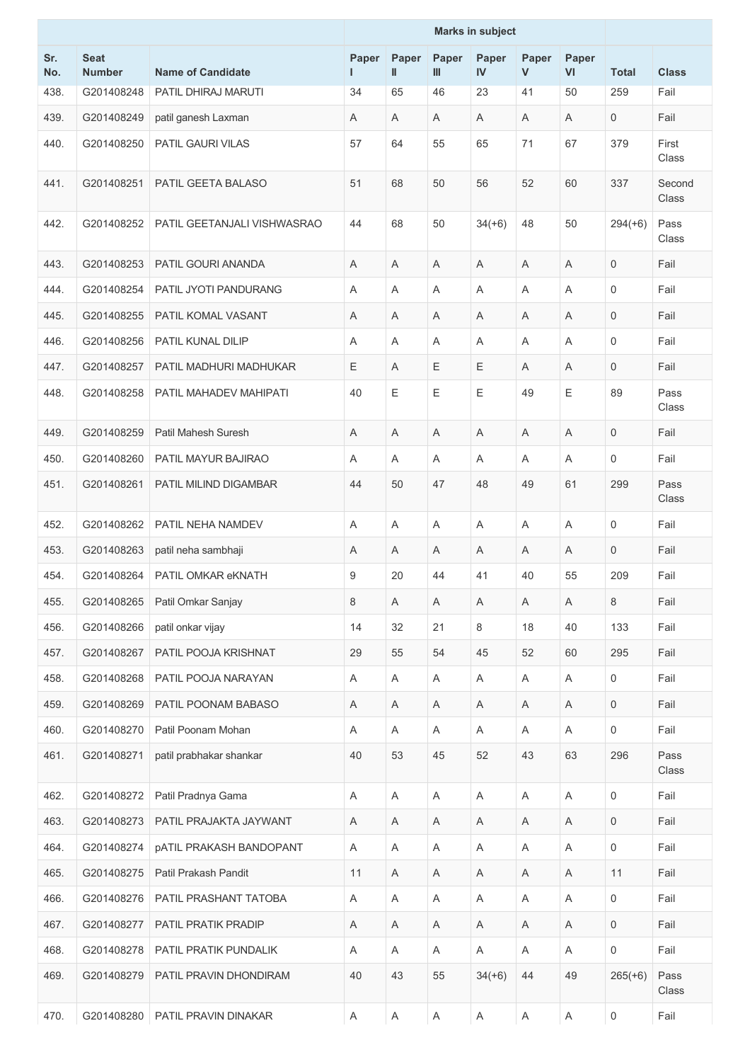|            |                              |                                | <b>Marks in subject</b> |                           |            |             |            |                |              |                       |
|------------|------------------------------|--------------------------------|-------------------------|---------------------------|------------|-------------|------------|----------------|--------------|-----------------------|
| Sr.<br>No. | <b>Seat</b><br><b>Number</b> | <b>Name of Candidate</b>       | Paper                   | Paper<br>$\mathbf{I}$     | Paper<br>Ш | Paper<br>IV | Paper<br>V | Paper<br>VI    | <b>Total</b> | <b>Class</b>          |
| 438.       | G201408248                   | PATIL DHIRAJ MARUTI            | 34                      | 65                        | 46         | 23          | 41         | 50             | 259          | Fail                  |
| 439.       | G201408249                   | patil ganesh Laxman            | A                       | A                         | Α          | A           | A          | A              | 0            | Fail                  |
| 440.       | G201408250                   | PATIL GAURI VILAS              | 57                      | 64                        | 55         | 65          | 71         | 67             | 379          | First<br><b>Class</b> |
| 441.       | G201408251                   | PATIL GEETA BALASO             | 51                      | 68                        | 50         | 56          | 52         | 60             | 337          | Second<br>Class       |
| 442.       | G201408252                   | PATIL GEETANJALI VISHWASRAO    | 44                      | 68                        | 50         | $34(+6)$    | 48         | 50             | $294(+6)$    | Pass<br>Class         |
| 443.       | G201408253                   | PATIL GOURI ANANDA             | A                       | A                         | Α          | A           | Α          | Α              | 0            | Fail                  |
| 444.       | G201408254                   | PATIL JYOTI PANDURANG          | A                       | A                         | Α          | A           | Α          | A              | $\mathbf 0$  | Fail                  |
| 445.       | G201408255                   | PATIL KOMAL VASANT             | Α                       | A                         | Α          | A           | Α          | A              | 0            | Fail                  |
| 446.       | G201408256                   | <b>PATIL KUNAL DILIP</b>       | A                       | A                         | Α          | A           | A          | A              | $\mathbf 0$  | Fail                  |
| 447.       | G201408257                   | PATIL MADHURI MADHUKAR         | E                       | Α                         | Ε          | E           | A          | A              | 0            | Fail                  |
| 448.       | G201408258                   | PATIL MAHADEV MAHIPATI         | 40                      | Ε                         | Е          | Ε           | 49         | $\mathsf E$    | 89           | Pass<br>Class         |
| 449.       | G201408259                   | Patil Mahesh Suresh            | A                       | A                         | Α          | A           | A          | A              | $\mathbf 0$  | Fail                  |
| 450.       | G201408260                   | <b>PATIL MAYUR BAJIRAO</b>     | A                       | A                         | A          | A           | A          | $\overline{A}$ | 0            | Fail                  |
| 451.       | G201408261                   | PATIL MILIND DIGAMBAR          | 44                      | 50                        | 47         | 48          | 49         | 61             | 299          | Pass<br>Class         |
| 452.       | G201408262                   | PATIL NEHA NAMDEV              | A                       | A                         | Α          | Α           | Α          | A              | 0            | Fail                  |
| 453.       | G201408263                   | patil neha sambhaji            | A                       | A                         | Α          | A           | A          | A              | 0            | Fail                  |
| 454.       | G201408264                   | PATIL OMKAR eKNATH             | 9                       | 20                        | 44         | 41          | 40         | 55             | 209          | Fail                  |
| 455.       | G201408265                   | Patil Omkar Sanjay             | 8                       | Α                         | Α          | Α           | A          | Α              | 8            | Fail                  |
| 456.       | G201408266                   | patil onkar vijay              | 14                      | 32                        | 21         | 8           | 18         | 40             | 133          | Fail                  |
| 457.       | G201408267                   | PATIL POOJA KRISHNAT           | 29                      | 55                        | 54         | 45          | 52         | 60             | 295          | Fail                  |
| 458.       | G201408268                   | PATIL POOJA NARAYAN            | Α                       | $\boldsymbol{\mathsf{A}}$ | Α          | Α           | A          | A              | 0            | Fail                  |
| 459.       | G201408269                   | PATIL POONAM BABASO            | A                       | A                         | Α          | A           | A          | A              | 0            | Fail                  |
| 460.       | G201408270                   | Patil Poonam Mohan             | Α                       | Α                         | Α          | A           | Α          | $\mathsf A$    | 0            | Fail                  |
| 461.       | G201408271                   | patil prabhakar shankar        | 40                      | 53                        | 45         | 52          | 43         | 63             | 296          | Pass<br>Class         |
| 462.       | G201408272                   | Patil Pradnya Gama             | Α                       | Α                         | A          | Α           | A          | $\mathsf A$    | $\mathbf 0$  | Fail                  |
| 463.       | G201408273                   | PATIL PRAJAKTA JAYWANT         | Α                       | Α                         | Α          | Α           | A          | A              | 0            | Fail                  |
| 464.       | G201408274                   | <b>pATIL PRAKASH BANDOPANT</b> | A                       | A                         | Α          | Α           | A          | A              | 0            | Fail                  |
| 465.       | G201408275                   | Patil Prakash Pandit           | 11                      | Α                         | Α          | Α           | A          | A              | 11           | Fail                  |
| 466.       | G201408276                   | PATIL PRASHANT TATOBA          | A                       | Α                         | A          | Α           | A          | A              | 0            | Fail                  |
| 467.       | G201408277                   | PATIL PRATIK PRADIP            | A                       | Α                         | Α          | A           | A          | A              | 0            | Fail                  |
| 468.       | G201408278                   | PATIL PRATIK PUNDALIK          | Α                       | A                         | Α          | A           | A          | $\mathsf A$    | 0            | Fail                  |
| 469.       | G201408279                   | PATIL PRAVIN DHONDIRAM         | 40                      | 43                        | 55         | $34(+6)$    | 44         | 49             | $265(+6)$    | Pass<br>Class         |
| 470.       | G201408280                   | PATIL PRAVIN DINAKAR           | A                       | A                         | A          | A           | A          | A              | 0            | Fail                  |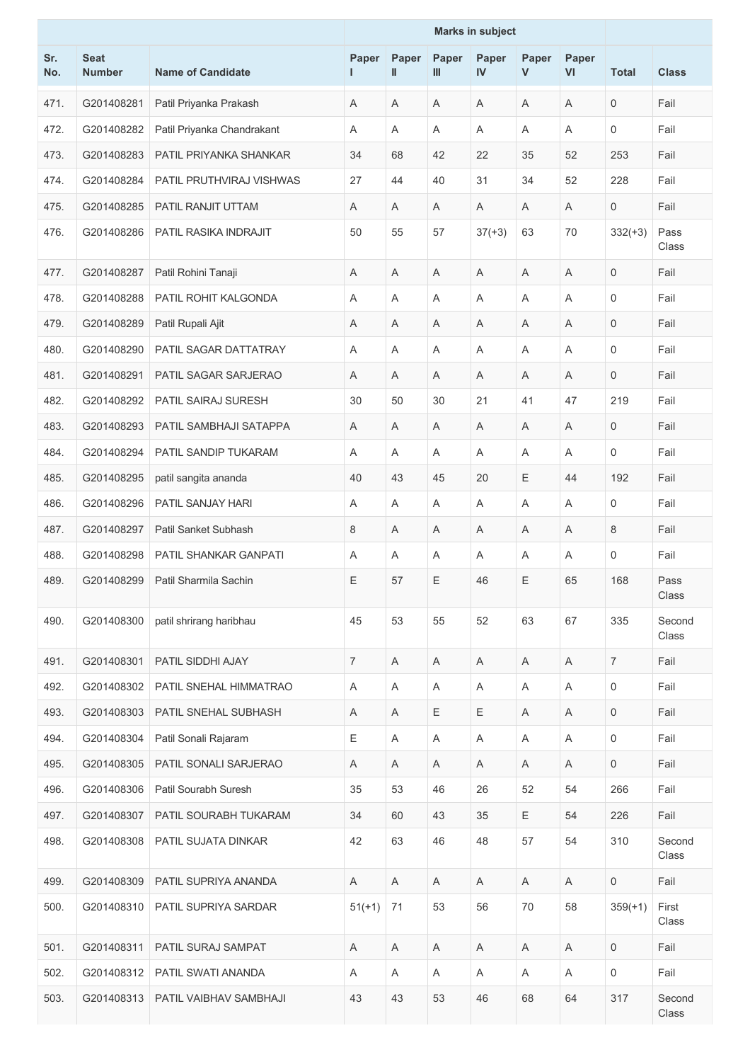|            |                              |                              | <b>Marks in subject</b> |            |            |                           |            |             |                |                 |
|------------|------------------------------|------------------------------|-------------------------|------------|------------|---------------------------|------------|-------------|----------------|-----------------|
| Sr.<br>No. | <b>Seat</b><br><b>Number</b> | <b>Name of Candidate</b>     | Paper                   | Paper<br>Ш | Paper<br>Ш | Paper<br>IV               | Paper<br>V | Paper<br>VI | <b>Total</b>   | <b>Class</b>    |
| 471.       | G201408281                   | Patil Priyanka Prakash       | A                       | A          | Α          | A                         | A          | A           | 0              | Fail            |
| 472.       | G201408282                   | Patil Priyanka Chandrakant   | Α                       | Α          | Α          | Α                         | A          | A           | $\Omega$       | Fail            |
| 473.       | G201408283                   | PATIL PRIYANKA SHANKAR       | 34                      | 68         | 42         | 22                        | 35         | 52          | 253            | Fail            |
| 474.       | G201408284                   | PATIL PRUTHVIRAJ VISHWAS     | 27                      | 44         | 40         | 31                        | 34         | 52          | 228            | Fail            |
| 475.       | G201408285                   | PATIL RANJIT UTTAM           | A                       | A          | Α          | A                         | A          | A           | 0              | Fail            |
| 476.       | G201408286                   | PATIL RASIKA INDRAJIT        | 50                      | 55         | 57         | $37(+3)$                  | 63         | 70          | $332(+3)$      | Pass<br>Class   |
| 477.       | G201408287                   | Patil Rohini Tanaji          | Α                       | A          | Α          | A                         | Α          | A           | 0              | Fail            |
| 478.       | G201408288                   | PATIL ROHIT KALGONDA         | A                       | Α          | Α          | A                         | Α          | Α           | 0              | Fail            |
| 479.       | G201408289                   | Patil Rupali Ajit            | A                       | A          | Α          | A                         | A          | A           | 0              | Fail            |
| 480.       | G201408290                   | PATIL SAGAR DATTATRAY        | Α                       | A          | Α          | A                         | Α          | A           | 0              | Fail            |
| 481.       | G201408291                   | PATIL SAGAR SARJERAO         | Α                       | A          | Α          | A                         | Α          | A           | 0              | Fail            |
| 482.       | G201408292                   | PATIL SAIRAJ SURESH          | 30                      | 50         | 30         | 21                        | 41         | 47          | 219            | Fail            |
| 483.       | G201408293                   | PATIL SAMBHAJI SATAPPA       | A                       | A          | Α          | A                         | A          | A           | $\mathbf 0$    | Fail            |
| 484.       | G201408294                   | PATIL SANDIP TUKARAM         | Α                       | A          | Α          | A                         | Α          | A           | 0              | Fail            |
| 485.       | G201408295                   | patil sangita ananda         | 40                      | 43         | 45         | 20                        | E          | 44          | 192            | Fail            |
| 486.       | G201408296                   | PATIL SANJAY HARI            | A                       | A          | Α          | A                         | A          | A           | 0              | Fail            |
| 487.       | G201408297                   | Patil Sanket Subhash         | 8                       | A          | Α          | A                         | Α          | A           | 8              | Fail            |
| 488.       | G201408298                   | <b>PATIL SHANKAR GANPATI</b> | A                       | Α          | Α          | A                         | Α          | A           | 0              | Fail            |
| 489.       | G201408299                   | Patil Sharmila Sachin        | Ε                       | 57         | Ε          | 46                        | Ε          | 65          | 168            | Pass<br>Class   |
| 490.       | G201408300                   | patil shrirang haribhau      | 45                      | 53         | 55         | 52                        | 63         | 67          | 335            | Second<br>Class |
| 491.       | G201408301                   | PATIL SIDDHI AJAY            | $\overline{7}$          | A          | Α          | Α                         | Α          | Α           | $\overline{7}$ | Fail            |
| 492.       | G201408302                   | PATIL SNEHAL HIMMATRAO       | A                       | A          | Α          | A                         | A          | A           | 0              | Fail            |
| 493.       | G201408303                   | PATIL SNEHAL SUBHASH         | Α                       | A          | Ε          | Ε                         | A          | A           | $\mathbf 0$    | Fail            |
| 494.       | G201408304                   | Patil Sonali Rajaram         | $\mathsf E$             | A          | Α          | $\boldsymbol{\mathsf{A}}$ | Α          | A           | $\mathbf 0$    | Fail            |
| 495.       | G201408305                   | PATIL SONALI SARJERAO        | A                       | A          | A          | Α                         | A          | A           | 0              | Fail            |
| 496.       | G201408306                   | Patil Sourabh Suresh         | 35                      | 53         | 46         | 26                        | 52         | 54          | 266            | Fail            |
| 497.       | G201408307                   | PATIL SOURABH TUKARAM        | 34                      | 60         | 43         | 35                        | E          | 54          | 226            | Fail            |
| 498.       | G201408308                   | PATIL SUJATA DINKAR          | 42                      | 63         | 46         | 48                        | 57         | 54          | 310            | Second<br>Class |
| 499.       | G201408309                   | PATIL SUPRIYA ANANDA         | Α                       | Α          | A          | Α                         | A          | Α           | $\mathbf 0$    | Fail            |
| 500.       | G201408310                   | PATIL SUPRIYA SARDAR         | $51(+1)$                | 71         | 53         | 56                        | 70         | 58          | $359(+1)$      | First<br>Class  |
| 501.       | G201408311                   | PATIL SURAJ SAMPAT           | Α                       | A          | A          | A                         | A          | A           | 0              | Fail            |
| 502.       | G201408312                   | PATIL SWATI ANANDA           | A                       | A          | A          | A                         | A          | A           | $\mathbf 0$    | Fail            |
| 503.       | G201408313                   | PATIL VAIBHAV SAMBHAJI       | 43                      | 43         | 53         | 46                        | 68         | 64          | 317            | Second<br>Class |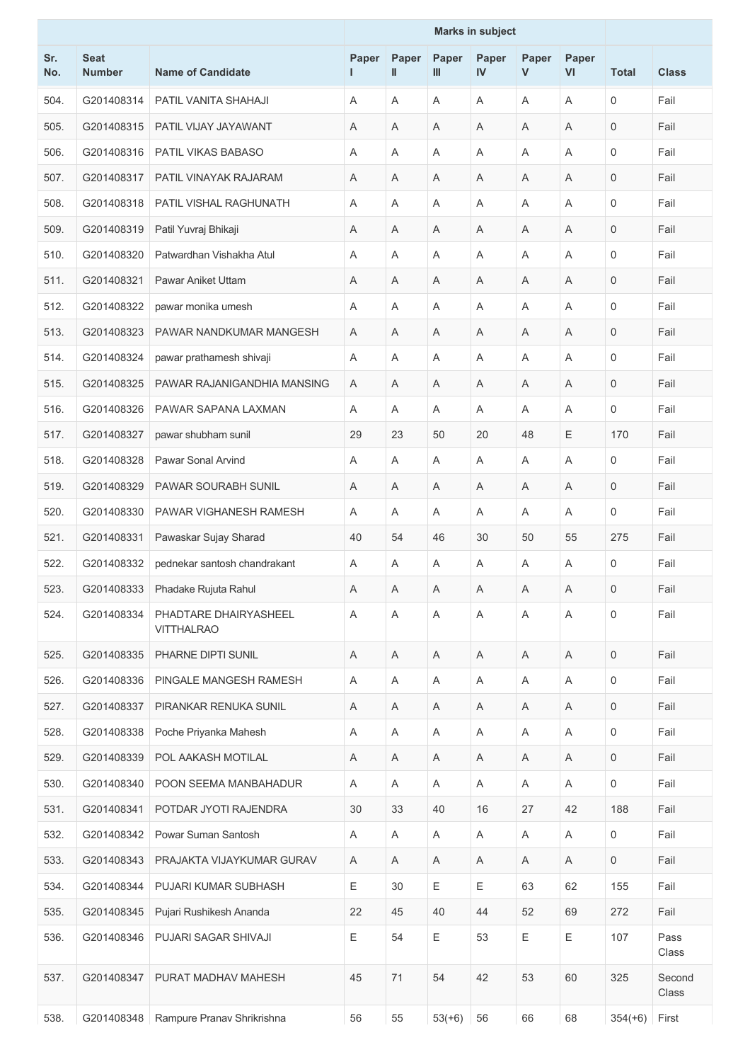|            |                              |                                            | <b>Marks in subject</b> |                       |            |                           |            |                           |              |                 |
|------------|------------------------------|--------------------------------------------|-------------------------|-----------------------|------------|---------------------------|------------|---------------------------|--------------|-----------------|
| Sr.<br>No. | <b>Seat</b><br><b>Number</b> | <b>Name of Candidate</b>                   | Paper                   | Paper<br>$\mathbf{I}$ | Paper<br>Ш | Paper<br>IV               | Paper<br>V | Paper<br>VI               | <b>Total</b> | <b>Class</b>    |
| 504.       | G201408314                   | PATIL VANITA SHAHAJI                       | A                       | A                     | A          | A                         | Α          | A                         | $\mathbf 0$  | Fail            |
| 505.       | G201408315                   | PATIL VIJAY JAYAWANT                       | Α                       | A                     | A          | A                         | Α          | Α                         | $\mathbf 0$  | Fail            |
| 506.       | G201408316                   | PATIL VIKAS BABASO                         | Α                       | Α                     | A          | Α                         | Α          | Α                         | $\mathbf 0$  | Fail            |
| 507.       | G201408317                   | PATIL VINAYAK RAJARAM                      | Α                       | Α                     | Α          | Α                         | Α          | A                         | $\mathbf{0}$ | Fail            |
| 508.       | G201408318                   | PATIL VISHAL RAGHUNATH                     | Α                       | A                     | A          | Α                         | Α          | A                         | $\mathbf 0$  | Fail            |
| 509.       | G201408319                   | Patil Yuvraj Bhikaji                       | A                       | A                     | Α          | A                         | Α          | A                         | $\mathbf{0}$ | Fail            |
| 510.       | G201408320                   | Patwardhan Vishakha Atul                   | Α                       | A                     | A          | Α                         | Α          | A                         | $\mathbf 0$  | Fail            |
| 511.       | G201408321                   | <b>Pawar Aniket Uttam</b>                  | Α                       | A                     | Α          | Α                         | Α          | A                         | $\mathbf 0$  | Fail            |
| 512.       | G201408322                   | pawar monika umesh                         | A                       | A                     | A          | Α                         | Α          | A                         | $\mathbf 0$  | Fail            |
| 513.       | G201408323                   | PAWAR NANDKUMAR MANGESH                    | A                       | A                     | Α          | Α                         | Α          | A                         | 0            | Fail            |
| 514.       | G201408324                   | pawar prathamesh shivaji                   | Α                       | A                     | Α          | A                         | Α          | A                         | $\mathbf 0$  | Fail            |
| 515.       | G201408325                   | PAWAR RAJANIGANDHIA MANSING                | Α                       | A                     | A          | A                         | Α          | A                         | 0            | Fail            |
| 516.       | G201408326                   | PAWAR SAPANA LAXMAN                        | A                       | Α                     | Α          | A                         | Α          | Α                         | $\mathbf 0$  | Fail            |
| 517.       | G201408327                   | pawar shubham sunil                        | 29                      | 23                    | 50         | 20                        | 48         | $\mathsf E$               | 170          | Fail            |
| 518.       | G201408328                   | Pawar Sonal Arvind                         | Α                       | A                     | Α          | A                         | Α          | A                         | $\mathbf 0$  | Fail            |
| 519.       | G201408329                   | PAWAR SOURABH SUNIL                        | Α                       | A                     | Α          | A                         | Α          | A                         | $\mathbf{0}$ | Fail            |
| 520.       | G201408330                   | PAWAR VIGHANESH RAMESH                     | A                       | A                     | A          | A                         | Α          | Α                         | $\mathbf 0$  | Fail            |
| 521.       | G201408331                   | Pawaskar Sujay Sharad                      | 40                      | 54                    | 46         | 30                        | 50         | 55                        | 275          | Fail            |
| 522.       | G201408332                   | pednekar santosh chandrakant               | Α                       | A                     | Α          | Α                         | Α          | A                         | $\mathbf 0$  | Fail            |
| 523.       | G201408333                   | Phadake Rujuta Rahul                       | $\mathsf A$             | $\mathsf A$           | Α          | $\boldsymbol{\mathsf{A}}$ | A          | $\mathsf A$               | 0            | Fail            |
| 524.       | G201408334                   | PHADTARE DHAIRYASHEEL<br><b>VITTHALRAO</b> | A                       | A                     | Α          | A                         | Α          | A                         | $\mathbf 0$  | Fail            |
| 525.       | G201408335                   | PHARNE DIPTI SUNIL                         | Α                       | Α                     | A          | Α                         | A          | A                         | $\mathbf{0}$ | Fail            |
| 526.       | G201408336                   | PINGALE MANGESH RAMESH                     | A                       | Α                     | A          | Α                         | Α          | A                         | $\mathbf 0$  | Fail            |
| 527.       | G201408337                   | PIRANKAR RENUKA SUNIL                      | Α                       | Α                     | Α          | Α                         | Α          | $\boldsymbol{\mathsf{A}}$ | $\mathbf 0$  | Fail            |
| 528.       | G201408338                   | Poche Priyanka Mahesh                      | Α                       | A                     | A          | A                         | Α          | A                         | 0            | Fail            |
| 529.       | G201408339                   | POL AAKASH MOTILAL                         | A                       | Α                     | Α          | Α                         | Α          | Α                         | $\mathbf 0$  | Fail            |
| 530.       | G201408340                   | POON SEEMA MANBAHADUR                      | A                       | A                     | Α          | A                         | A          | A                         | $\mathbf 0$  | Fail            |
| 531.       | G201408341                   | POTDAR JYOTI RAJENDRA                      | 30                      | 33                    | 40         | 16                        | 27         | 42                        | 188          | Fail            |
| 532.       | G201408342                   | Powar Suman Santosh                        | A                       | Α                     | Α          | Α                         | A          | $\boldsymbol{\mathsf{A}}$ | $\mathbf 0$  | Fail            |
| 533.       | G201408343                   | PRAJAKTA VIJAYKUMAR GURAV                  | A                       | A                     | A          | A                         | A          | A                         | $\mathbf 0$  | Fail            |
| 534.       | G201408344                   | PUJARI KUMAR SUBHASH                       | Е                       | 30                    | Е          | Ε                         | 63         | 62                        | 155          | Fail            |
| 535.       | G201408345                   | Pujari Rushikesh Ananda                    | 22                      | 45                    | 40         | 44                        | 52         | 69                        | 272          | Fail            |
| 536.       | G201408346                   | PUJARI SAGAR SHIVAJI                       | Ε                       | 54                    | E          | 53                        | Ε          | $\mathsf E$               | 107          | Pass<br>Class   |
| 537.       | G201408347                   | PURAT MADHAV MAHESH                        | 45                      | 71                    | 54         | 42                        | 53         | 60                        | 325          | Second<br>Class |
| 538.       | G201408348                   | Rampure Pranav Shrikrishna                 | 56                      | 55                    | $53(+6)$   | 56                        | 66         | 68                        | $354(+6)$    | First           |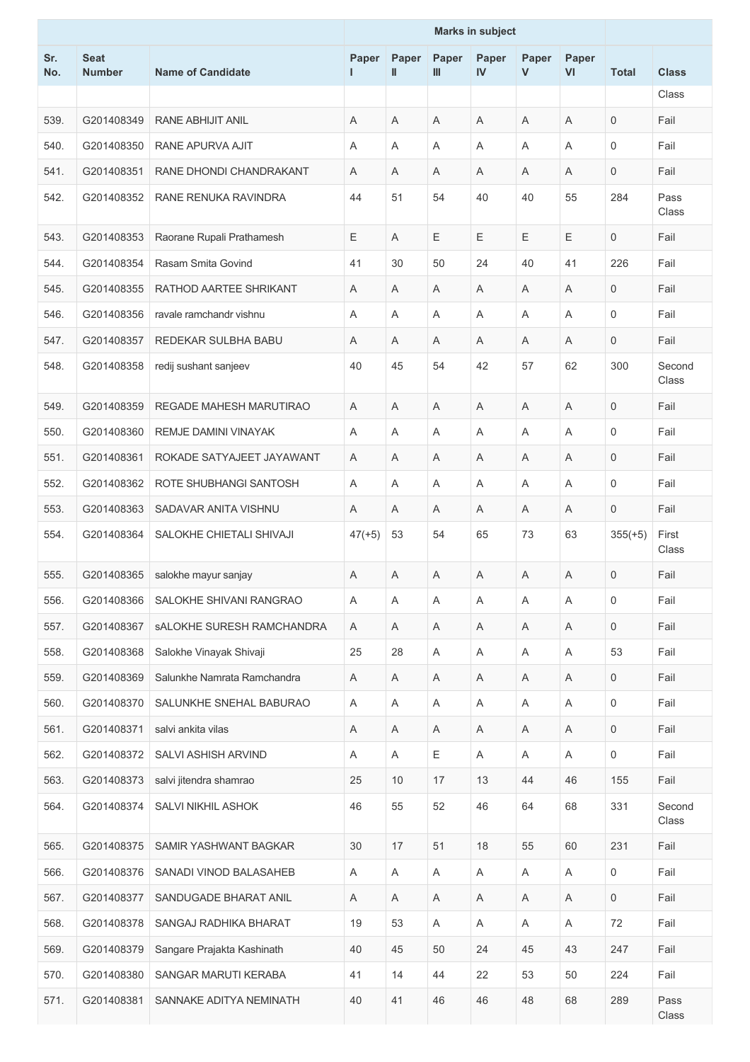|            |                              |                                  |          |                       |            | <b>Marks in subject</b> |            |                           |                     |                 |
|------------|------------------------------|----------------------------------|----------|-----------------------|------------|-------------------------|------------|---------------------------|---------------------|-----------------|
| Sr.<br>No. | <b>Seat</b><br><b>Number</b> | <b>Name of Candidate</b>         | Paper    | Paper<br>$\mathbf{I}$ | Paper<br>Ш | Paper<br>IV             | Paper<br>V | Paper<br><b>VI</b>        | <b>Total</b>        | <b>Class</b>    |
|            |                              |                                  |          |                       |            |                         |            |                           |                     | Class           |
| 539.       | G201408349                   | <b>RANE ABHIJIT ANIL</b>         | A        | A                     | Α          | A                       | A          | A                         | 0                   | Fail            |
| 540.       | G201408350                   | RANE APURVA AJIT                 | A        | A                     | Α          | A                       | Α          | A                         | $\mathbf 0$         | Fail            |
| 541.       | G201408351                   | RANE DHONDI CHANDRAKANT          | A        | A                     | Α          | A                       | A          | A                         | $\mathbf 0$         | Fail            |
| 542.       | G201408352                   | RANE RENUKA RAVINDRA             | 44       | 51                    | 54         | 40                      | 40         | 55                        | 284                 | Pass<br>Class   |
| 543.       | G201408353                   | Raorane Rupali Prathamesh        | E        | A                     | Е          | $\mathsf E$             | E          | $\mathsf E$               | $\mathbf 0$         | Fail            |
| 544.       | G201408354                   | Rasam Smita Govind               | 41       | 30                    | 50         | 24                      | 40         | 41                        | 226                 | Fail            |
| 545.       | G201408355                   | RATHOD AARTEE SHRIKANT           | A        | A                     | Α          | A                       | A          | A                         | $\mathbf 0$         | Fail            |
| 546.       | G201408356                   | ravale ramchandr vishnu          | A        | A                     | A          | A                       | A          | $\overline{A}$            | $\mathbf 0$         | Fail            |
| 547.       | G201408357                   | REDEKAR SULBHA BABU              | A        | A                     | Α          | Α                       | A          | A                         | $\mathbf 0$         | Fail            |
| 548.       | G201408358                   | redij sushant sanjeev            | 40       | 45                    | 54         | 42                      | 57         | 62                        | 300                 | Second<br>Class |
| 549.       | G201408359                   | REGADE MAHESH MARUTIRAO          | A        | A                     | Α          | A                       | A          | A                         | $\mathbf 0$         | Fail            |
| 550.       | G201408360                   | <b>REMJE DAMINI VINAYAK</b>      | A        | A                     | Α          | Α                       | Α          | A                         | 0                   | Fail            |
| 551.       | G201408361                   | ROKADE SATYAJEET JAYAWANT        | A        | A                     | A          | A                       | A          | A                         | $\mathbf 0$         | Fail            |
| 552.       | G201408362                   | ROTE SHUBHANGI SANTOSH           | Α        | A                     | Α          | A                       | Α          | A                         | 0                   | Fail            |
| 553.       | G201408363                   | SADAVAR ANITA VISHNU             | A        | A                     | Α          | A                       | A          | A                         | $\mathbf 0$         | Fail            |
| 554.       | G201408364                   | SALOKHE CHIETALI SHIVAJI         | $47(+5)$ | 53                    | 54         | 65                      | 73         | 63                        | $355(+5)$           | First<br>Class  |
| 555.       | G201408365                   | salokhe mayur sanjay             | Α        | Α                     | Α          | Α                       | A          | A                         | 0                   | Fail            |
| 556.       | G201408366                   | SALOKHE SHIVANI RANGRAO          | Α        | Α                     | Α          | Α                       | Α          | Α                         | $\boldsymbol{0}$    | Fail            |
| 557.       | G201408367                   | <b>SALOKHE SURESH RAMCHANDRA</b> | A        | A                     | A          | Α                       | A          | A                         | $\mathsf 0$         | Fail            |
| 558.       | G201408368                   | Salokhe Vinayak Shivaji          | 25       | 28                    | Α          | Α                       | A          | Α                         | 53                  | Fail            |
| 559.       | G201408369                   | Salunkhe Namrata Ramchandra      | Α        | Α                     | A          | Α                       | A          | $\boldsymbol{\mathsf{A}}$ | $\mathbf 0$         | Fail            |
| 560.       | G201408370                   | SALUNKHE SNEHAL BABURAO          | A        | Α                     | Α          | Α                       | A          | $\boldsymbol{\mathsf{A}}$ | 0                   | Fail            |
| 561.       | G201408371                   | salvi ankita vilas               | Α        | Α                     | Α          | Α                       | Α          | Α                         | $\mathbf 0$         | Fail            |
| 562.       | G201408372                   | SALVI ASHISH ARVIND              | A        | A                     | Е          | Α                       | Α          | A                         | $\mathsf{O}\xspace$ | Fail            |
| 563.       | G201408373                   | salvi jitendra shamrao           | 25       | 10                    | 17         | 13                      | 44         | 46                        | 155                 | Fail            |
| 564.       | G201408374                   | SALVI NIKHIL ASHOK               | 46       | 55                    | 52         | 46                      | 64         | 68                        | 331                 | Second<br>Class |
| 565.       | G201408375                   | SAMIR YASHWANT BAGKAR            | 30       | 17                    | 51         | 18                      | 55         | 60                        | 231                 | Fail            |
| 566.       | G201408376                   | SANADI VINOD BALASAHEB           | Α        | Α                     | Α          | Α                       | A          | Α                         | $\mathbf 0$         | Fail            |
| 567.       | G201408377                   | SANDUGADE BHARAT ANIL            | A        | Α                     | A          | $\mathsf A$             | Α          | A                         | $\mathbf 0$         | Fail            |
| 568.       | G201408378                   | SANGAJ RADHIKA BHARAT            | 19       | 53                    | Α          | Α                       | A          | Α                         | 72                  | Fail            |
| 569.       | G201408379                   | Sangare Prajakta Kashinath       | 40       | 45                    | 50         | 24                      | 45         | 43                        | 247                 | Fail            |
| 570.       | G201408380                   | SANGAR MARUTI KERABA             | 41       | 14                    | 44         | 22                      | 53         | 50                        | 224                 | Fail            |
| 571.       | G201408381                   | SANNAKE ADITYA NEMINATH          | 40       | 41                    | 46         | 46                      | 48         | 68                        | 289                 | Pass<br>Class   |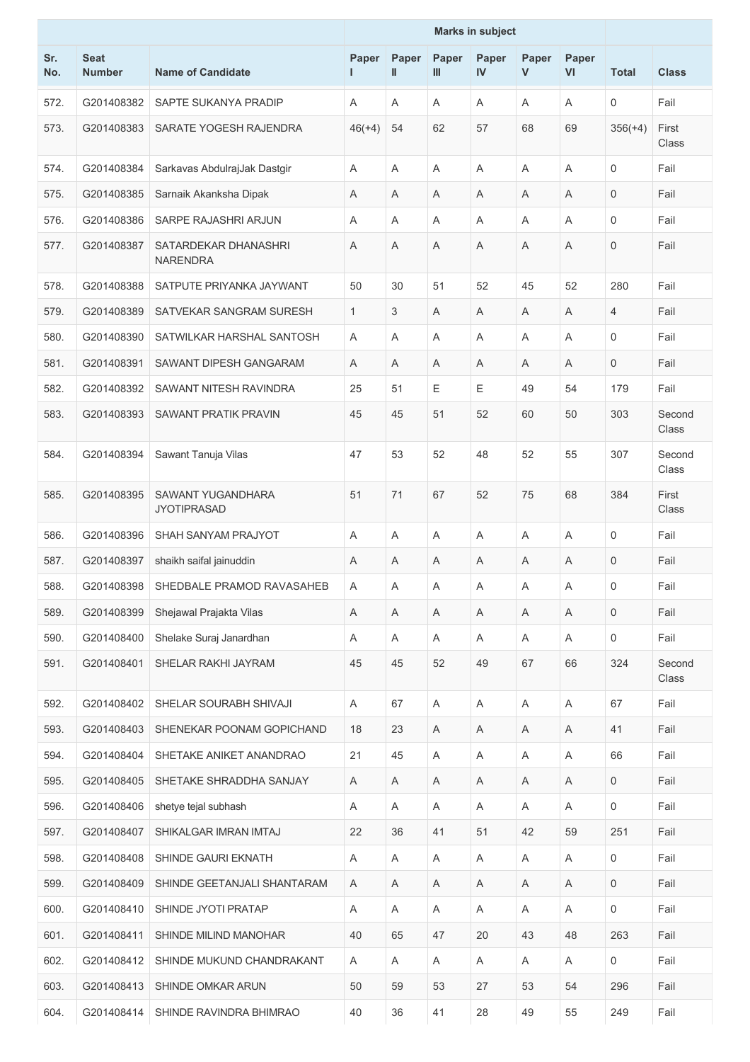|            |                              |                                         |              |                |            | <b>Marks in subject</b> |            |                |              |                 |
|------------|------------------------------|-----------------------------------------|--------------|----------------|------------|-------------------------|------------|----------------|--------------|-----------------|
| Sr.<br>No. | <b>Seat</b><br><b>Number</b> | <b>Name of Candidate</b>                | Paper        | Paper<br>Ш     | Paper<br>Ш | Paper<br>IV             | Paper<br>V | Paper<br>VI    | <b>Total</b> | <b>Class</b>    |
| 572.       | G201408382                   | SAPTE SUKANYA PRADIP                    | A            | A              | Α          | A                       | A          | A              | 0            | Fail            |
| 573.       | G201408383                   | SARATE YOGESH RAJENDRA                  | $46(+4)$     | 54             | 62         | 57                      | 68         | 69             | $356(+4)$    | First<br>Class  |
| 574.       | G201408384                   | Sarkavas AbdulrajJak Dastgir            | A            | A              | A          | A                       | Α          | A              | $\mathbf 0$  | Fail            |
| 575.       | G201408385                   | Sarnaik Akanksha Dipak                  | Α            | A              | Α          | A                       | Α          | A              | 0            | Fail            |
| 576.       | G201408386                   | SARPE RAJASHRI ARJUN                    | Α            | A              | Α          | Α                       | Α          | A              | 0            | Fail            |
| 577.       | G201408387                   | SATARDEKAR DHANASHRI<br><b>NARENDRA</b> | A            | Α              | Α          | A                       | Α          | A              | 0            | Fail            |
| 578.       | G201408388                   | SATPUTE PRIYANKA JAYWANT                | 50           | 30             | 51         | 52                      | 45         | 52             | 280          | Fail            |
| 579.       | G201408389                   | SATVEKAR SANGRAM SURESH                 | $\mathbf{1}$ | 3              | Α          | A                       | Α          | A              | 4            | Fail            |
| 580.       | G201408390                   | SATWILKAR HARSHAL SANTOSH               | A            | $\overline{A}$ | A          | A                       | Α          | $\overline{A}$ | $\mathbf 0$  | Fail            |
| 581.       | G201408391                   | SAWANT DIPESH GANGARAM                  | A            | A              | Α          | Α                       | A          | A              | 0            | Fail            |
| 582.       | G201408392                   | SAWANT NITESH RAVINDRA                  | 25           | 51             | Ε          | $\mathsf E$             | 49         | 54             | 179          | Fail            |
| 583.       | G201408393                   | <b>SAWANT PRATIK PRAVIN</b>             | 45           | 45             | 51         | 52                      | 60         | 50             | 303          | Second<br>Class |
| 584.       | G201408394                   | Sawant Tanuja Vilas                     | 47           | 53             | 52         | 48                      | 52         | 55             | 307          | Second<br>Class |
| 585.       | G201408395                   | SAWANT YUGANDHARA<br><b>JYOTIPRASAD</b> | 51           | 71             | 67         | 52                      | 75         | 68             | 384          | First<br>Class  |
| 586.       | G201408396                   | SHAH SANYAM PRAJYOT                     | A            | A              | Α          | A                       | Α          | A              | $\mathbf 0$  | Fail            |
| 587.       | G201408397                   | shaikh saifal jainuddin                 | A            | A              | Α          | A                       | A          | A              | 0            | Fail            |
| 588.       | G201408398                   | SHEDBALE PRAMOD RAVASAHEB               | A            | Α              | Α          | Α                       | Α          | Α              | 0            | Fail            |
| 589.       | G201408399                   | Shejawal Prajakta Vilas                 | A            | Α              | Α          | A                       | A          | A              | 0            | Fail            |
| 590.       | G201408400                   | Shelake Suraj Janardhan                 | A            | Α              | Α          | Α                       | A          | A              | $\mathbf 0$  | Fail            |
| 591.       | G201408401                   | SHELAR RAKHI JAYRAM                     | 45           | 45             | 52         | 49                      | 67         | 66             | 324          | Second<br>Class |
| 592.       | G201408402                   | SHELAR SOURABH SHIVAJI                  | A            | 67             | Α          | Α                       | A          | A              | 67           | Fail            |
| 593.       | G201408403                   | SHENEKAR POONAM GOPICHAND               | 18           | 23             | Α          | Α                       | A          | A              | 41           | Fail            |
| 594.       | G201408404                   | SHETAKE ANIKET ANANDRAO                 | 21           | 45             | Α          | Α                       | A          | Α              | 66           | Fail            |
| 595.       | G201408405                   | SHETAKE SHRADDHA SANJAY                 | Α            | Α              | Α          | Α                       | A          | A              | 0            | Fail            |
| 596.       | G201408406                   | shetye tejal subhash                    | A            | Α              | A          | Α                       | A          | A              | 0            | Fail            |
| 597.       | G201408407                   | SHIKALGAR IMRAN IMTAJ                   | 22           | 36             | 41         | 51                      | 42         | 59             | 251          | Fail            |
| 598.       | G201408408                   | SHINDE GAURI EKNATH                     | Α            | Α              | Α          | Α                       | Α          | Α              | 0            | Fail            |
| 599.       | G201408409                   | SHINDE GEETANJALI SHANTARAM             | A            | Α              | Α          | Α                       | A          | A              | 0            | Fail            |
| 600.       | G201408410                   | SHINDE JYOTI PRATAP                     | A            | Α              | A          | Α                       | A          | A              | 0            | Fail            |
| 601.       | G201408411                   | SHINDE MILIND MANOHAR                   | 40           | 65             | 47         | 20                      | 43         | 48             | 263          | Fail            |
| 602.       | G201408412                   | SHINDE MUKUND CHANDRAKANT               | A            | Α              | A          | Α                       | A          | Α              | 0            | Fail            |
| 603.       | G201408413                   | SHINDE OMKAR ARUN                       | 50           | 59             | 53         | 27                      | 53         | 54             | 296          | Fail            |
| 604.       | G201408414                   | SHINDE RAVINDRA BHIMRAO                 | 40           | 36             | 41         | 28                      | 49         | 55             | 249          | Fail            |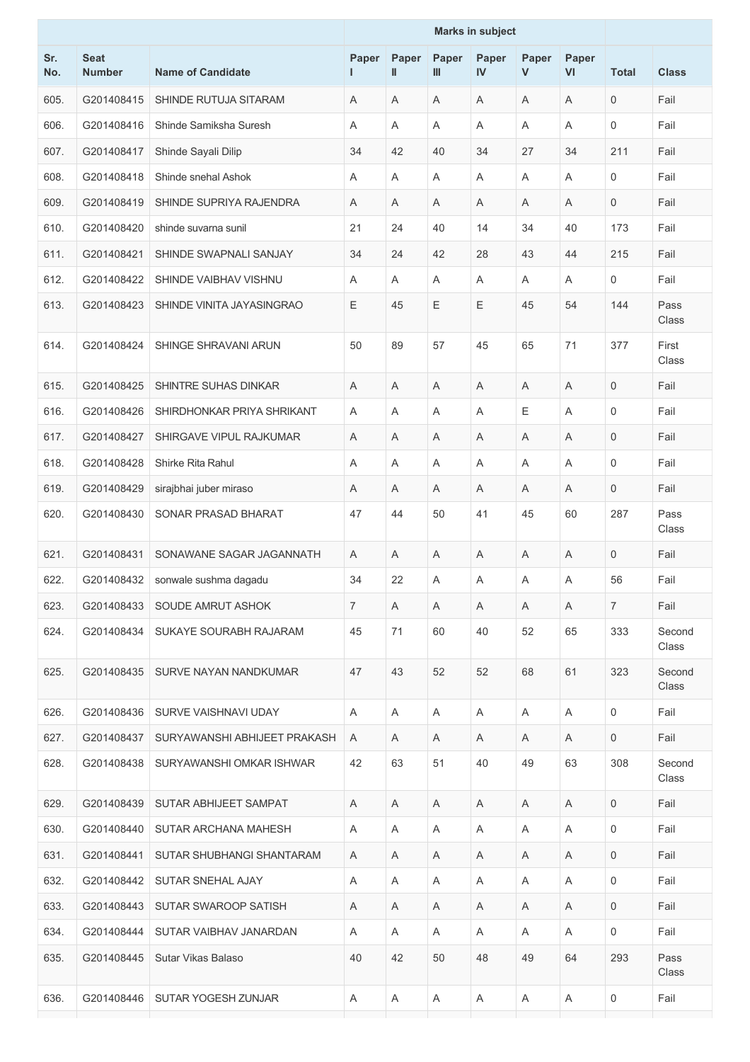|            |                              |                              | <b>Marks in subject</b> |                       |            |             |             |             |                |                 |
|------------|------------------------------|------------------------------|-------------------------|-----------------------|------------|-------------|-------------|-------------|----------------|-----------------|
| Sr.<br>No. | <b>Seat</b><br><b>Number</b> | <b>Name of Candidate</b>     | Paper                   | Paper<br>$\mathbf{I}$ | Paper<br>Ш | Paper<br>IV | Paper<br>V  | Paper<br>VI | <b>Total</b>   | <b>Class</b>    |
| 605.       | G201408415                   | SHINDE RUTUJA SITARAM        | A                       | A                     | A          | A           | Α           | A           | $\mathbf 0$    | Fail            |
| 606.       | G201408416                   | Shinde Samiksha Suresh       | A                       | $\overline{A}$        | A          | Α           | Α           | A           | $\mathbf 0$    | Fail            |
| 607.       | G201408417                   | Shinde Sayali Dilip          | 34                      | 42                    | 40         | 34          | 27          | 34          | 211            | Fail            |
| 608.       | G201408418                   | Shinde snehal Ashok          | A                       | A                     | Α          | Α           | Α           | A           | $\mathbf 0$    | Fail            |
| 609.       | G201408419                   | SHINDE SUPRIYA RAJENDRA      | Α                       | A                     | Α          | Α           | Α           | A           | $\mathbf 0$    | Fail            |
| 610.       | G201408420                   | shinde suvarna sunil         | 21                      | 24                    | 40         | 14          | 34          | 40          | 173            | Fail            |
| 611.       | G201408421                   | SHINDE SWAPNALI SANJAY       | 34                      | 24                    | 42         | 28          | 43          | 44          | 215            | Fail            |
| 612.       | G201408422                   | SHINDE VAIBHAV VISHNU        | A                       | A                     | A          | Α           | Α           | A           | 0              | Fail            |
| 613.       | G201408423                   | SHINDE VINITA JAYASINGRAO    | Ε                       | 45                    | E          | E           | 45          | 54          | 144            | Pass<br>Class   |
| 614.       | G201408424                   | SHINGE SHRAVANI ARUN         | 50                      | 89                    | 57         | 45          | 65          | 71          | 377            | First<br>Class  |
| 615.       | G201408425                   | SHINTRE SUHAS DINKAR         | A                       | A                     | Α          | A           | Α           | A           | $\mathbf 0$    | Fail            |
| 616.       | G201408426                   | SHIRDHONKAR PRIYA SHRIKANT   | A                       | A                     | A          | A           | $\mathsf E$ | A           | $\mathbf 0$    | Fail            |
| 617.       | G201408427                   | SHIRGAVE VIPUL RAJKUMAR      | Α                       | A                     | Α          | Α           | Α           | A           | $\mathbf 0$    | Fail            |
| 618.       | G201408428                   | Shirke Rita Rahul            | Α                       | A                     | Α          | Α           | Α           | A           | $\mathbf 0$    | Fail            |
| 619.       | G201408429                   | sirajbhai juber miraso       | Α                       | A                     | A          | A           | Α           | A           | $\mathbf 0$    | Fail            |
| 620.       | G201408430                   | SONAR PRASAD BHARAT          | 47                      | 44                    | 50         | 41          | 45          | 60          | 287            | Pass<br>Class   |
| 621.       | G201408431                   | SONAWANE SAGAR JAGANNATH     | A                       | A                     | Α          | A           | Α           | A           | $\mathbf 0$    | Fail            |
| 622.       | G201408432                   | sonwale sushma dagadu        | 34                      | 22                    | Α          | Α           | Α           | A           | 56             | Fail            |
| 623.       | G201408433                   | SOUDE AMRUT ASHOK            | $\overline{7}$          | A                     | A          | A           | A           | A           | $\overline{7}$ | Fail            |
| 624.       | G201408434                   | SUKAYE SOURABH RAJARAM       | 45                      | 71                    | 60         | 40          | 52          | 65          | 333            | Second<br>Class |
| 625.       | G201408435                   | SURVE NAYAN NANDKUMAR        | 47                      | 43                    | 52         | 52          | 68          | 61          | 323            | Second<br>Class |
| 626.       | G201408436                   | SURVE VAISHNAVI UDAY         | A                       | A                     | A          | A           | A           | A           | 0              | Fail            |
| 627.       | G201408437                   | SURYAWANSHI ABHIJEET PRAKASH | A                       | A                     | A          | A           | A           | A           | $\mathbf 0$    | Fail            |
| 628.       | G201408438                   | SURYAWANSHI OMKAR ISHWAR     | 42                      | 63                    | 51         | 40          | 49          | 63          | 308            | Second<br>Class |
| 629.       | G201408439                   | SUTAR ABHIJEET SAMPAT        | A                       | A                     | A          | A           | A           | Α           | $\mathbf 0$    | Fail            |
| 630.       | G201408440                   | SUTAR ARCHANA MAHESH         | A                       | A                     | A          | A           | A           | A           | $\mathbf 0$    | Fail            |
| 631.       | G201408441                   | SUTAR SHUBHANGI SHANTARAM    | A                       | A                     | A          | A           | A           | Α           | $\mathbf 0$    | Fail            |
| 632.       | G201408442                   | SUTAR SNEHAL AJAY            | A                       | Α                     | A          | Α           | A           | A           | $\mathbf 0$    | Fail            |
| 633.       | G201408443                   | SUTAR SWAROOP SATISH         | A                       | Α                     | A          | A           | A           | Α           | $\mathbf 0$    | Fail            |
| 634.       | G201408444                   | SUTAR VAIBHAV JANARDAN       | A                       | A                     | A          | A           | A           | A           | 0              | Fail            |
| 635.       | G201408445                   | Sutar Vikas Balaso           | 40                      | 42                    | 50         | 48          | 49          | 64          | 293            | Pass<br>Class   |
| 636.       | G201408446                   | SUTAR YOGESH ZUNJAR          | A                       | A                     | A          | A           | A           | A           | 0              | Fail            |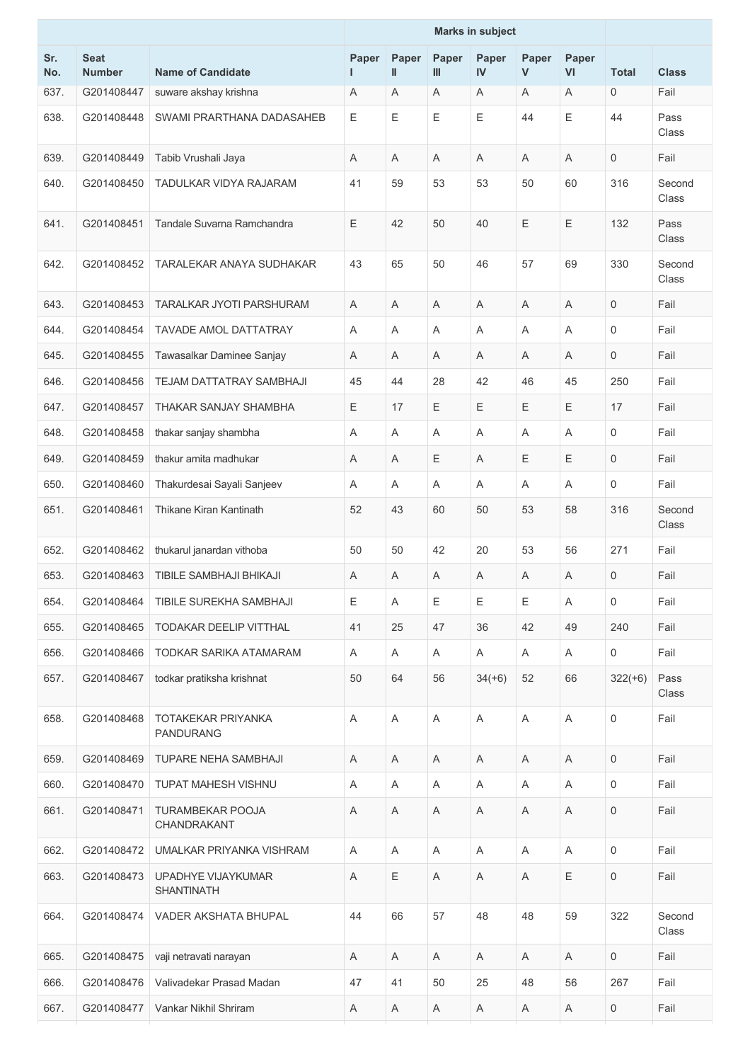|            |                              |                                               |       |                           |            | <b>Marks in subject</b> |            |             |                     |                      |
|------------|------------------------------|-----------------------------------------------|-------|---------------------------|------------|-------------------------|------------|-------------|---------------------|----------------------|
| Sr.<br>No. | <b>Seat</b><br><b>Number</b> | <b>Name of Candidate</b>                      | Paper | Paper<br>$\mathbf{I}$     | Paper<br>Ш | Paper<br>IV             | Paper<br>V | Paper<br>VI | <b>Total</b>        | <b>Class</b>         |
| 637.       | G201408447                   | suware akshay krishna                         | Α     | Α                         | Α          | Α                       | A          | A           | $\mathbf 0$         | Fail                 |
| 638.       | G201408448                   | SWAMI PRARTHANA DADASAHEB                     | E     | Ε                         | Е          | E                       | 44         | $\mathsf E$ | 44                  | Pass<br><b>Class</b> |
| 639.       | G201408449                   | Tabib Vrushali Jaya                           | A     | A                         | Α          | A                       | Α          | A           | $\mathsf{O}\xspace$ | Fail                 |
| 640.       | G201408450                   | TADULKAR VIDYA RAJARAM                        | 41    | 59                        | 53         | 53                      | 50         | 60          | 316                 | Second<br>Class      |
| 641.       | G201408451                   | Tandale Suvarna Ramchandra                    | E     | 42                        | 50         | 40                      | E          | Ε           | 132                 | Pass<br><b>Class</b> |
| 642.       | G201408452                   | TARALEKAR ANAYA SUDHAKAR                      | 43    | 65                        | 50         | 46                      | 57         | 69          | 330                 | Second<br>Class      |
| 643.       | G201408453                   | TARALKAR JYOTI PARSHURAM                      | A     | A                         | Α          | A                       | A          | A           | $\mathbf 0$         | Fail                 |
| 644.       | G201408454                   | <b>TAVADE AMOL DATTATRAY</b>                  | A     | A                         | Α          | A                       | A          | A           | $\mathbf 0$         | Fail                 |
| 645.       | G201408455                   | Tawasalkar Daminee Sanjay                     | A     | A                         | Α          | Α                       | A          | A           | 0                   | Fail                 |
| 646.       | G201408456                   | TEJAM DATTATRAY SAMBHAJI                      | 45    | 44                        | 28         | 42                      | 46         | 45          | 250                 | Fail                 |
| 647.       | G201408457                   | THAKAR SANJAY SHAMBHA                         | E     | 17                        | Ε          | $\mathsf E$             | Ε          | $\mathsf E$ | 17                  | Fail                 |
| 648.       | G201408458                   | thakar sanjay shambha                         | A     | A                         | Α          | Α                       | Α          | A           | 0                   | Fail                 |
| 649.       | G201408459                   | thakur amita madhukar                         | A     | Α                         | Ε          | A                       | E          | $\mathsf E$ | $\mathbf 0$         | Fail                 |
| 650.       | G201408460                   | Thakurdesai Sayali Sanjeev                    | A     | A                         | Α          | A                       | Α          | A           | 0                   | Fail                 |
| 651.       | G201408461                   | Thikane Kiran Kantinath                       | 52    | 43                        | 60         | 50                      | 53         | 58          | 316                 | Second<br>Class      |
| 652.       | G201408462                   | thukarul janardan vithoba                     | 50    | 50                        | 42         | 20                      | 53         | 56          | 271                 | Fail                 |
| 653.       | G201408463                   | TIBILE SAMBHAJI BHIKAJI                       | Α     | Α                         | Α          | A                       | Α          | A           | 0                   | Fail                 |
| 654.       | G201408464                   | TIBILE SUREKHA SAMBHAJI                       | E     | A                         | Ε          | $\mathsf E$             | Ε          | Α           | $\mathsf{O}\xspace$ | Fail                 |
| 655.       | G201408465                   | TODAKAR DEELIP VITTHAL                        | 41    | 25                        | 47         | 36                      | 42         | 49          | 240                 | Fail                 |
| 656.       | G201408466                   | TODKAR SARIKA ATAMARAM                        | A     | Α                         | Α          | Α                       | A          | A           | 0                   | Fail                 |
| 657.       | G201408467                   | todkar pratiksha krishnat                     | 50    | 64                        | 56         | $34(+6)$                | 52         | 66          | $322(+6)$           | Pass<br>Class        |
| 658.       | G201408468                   | <b>TOTAKEKAR PRIYANKA</b><br><b>PANDURANG</b> | A     | $\boldsymbol{\mathsf{A}}$ | Α          | $\mathsf A$             | A          | A           | $\mathbf 0$         | Fail                 |
| 659.       | G201408469                   | <b>TUPARE NEHA SAMBHAJI</b>                   | Α     | A                         | A          | Α                       | A          | A           | $\mathbf 0$         | Fail                 |
| 660.       | G201408470                   | <b>TUPAT MAHESH VISHNU</b>                    | A     | A                         | Α          | A                       | Α          | A           | $\mathbf 0$         | Fail                 |
| 661.       | G201408471                   | TURAMBEKAR POOJA<br>CHANDRAKANT               | Α     | Α                         | Α          | Α                       | Α          | A           | $\mathbf 0$         | Fail                 |
| 662.       | G201408472                   | UMALKAR PRIYANKA VISHRAM                      | A     | A                         | A          | Α                       | Α          | A           | $\mathbf 0$         | Fail                 |
| 663.       | G201408473                   | UPADHYE VIJAYKUMAR<br><b>SHANTINATH</b>       | Α     | Ε                         | Α          | Α                       | A          | $\mathsf E$ | $\mathbf 0$         | Fail                 |
| 664.       | G201408474                   | VADER AKSHATA BHUPAL                          | 44    | 66                        | 57         | 48                      | 48         | 59          | 322                 | Second<br>Class      |
| 665.       | G201408475                   | vaji netravati narayan                        | A     | Α                         | Α          | A                       | A          | Α           | $\mathsf{O}\xspace$ | Fail                 |
| 666.       | G201408476                   | Valivadekar Prasad Madan                      | 47    | 41                        | 50         | 25                      | 48         | 56          | 267                 | Fail                 |
| 667.       | G201408477                   | Vankar Nikhil Shriram                         | A     | Α                         | Α          | Α                       | A          | Α           | 0                   | Fail                 |